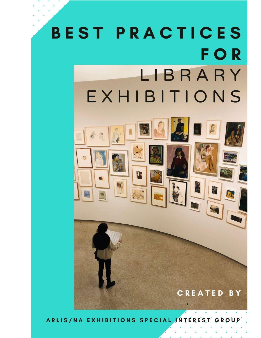# **BEST PRACTICES FOR** LIBRARY EXHIBITIONS  $\mathbb{R}$

ARLIS/NA EXHIBITIONS SPECIAL INTEREST

CREATED BY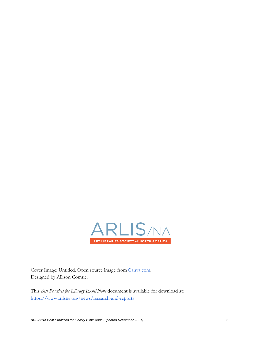

Cover Image: Untitled. Open source image from [Canva.com.](https://www.canva.com/) Designed by Allison Comrie.

This *Best Practices for Library Exhibitions* document is available for download at: <https://www.arlisna.org/news/research-and-reports>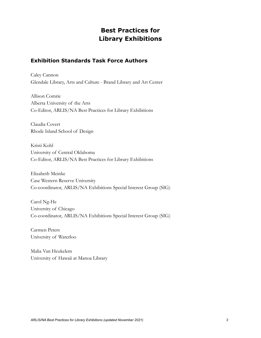# **Best Practices for Library Exhibitions**

## **Exhibition Standards Task Force Authors**

Caley Cannon Glendale Library, Arts and Culture - Brand Library and Art Center

Allison Comrie Alberta University of the Arts Co-Editor, ARLIS/NA Best Practices for Library Exhibitions

Claudia Covert Rhode Island School of Design

Kristi Kohl University of Central Oklahoma Co-Editor, ARLIS/NA Best Practices for Library Exhibitions

Elizabeth Meinke Case Western Reserve University Co-coordinator, ARLIS/NA Exhibitions Special Interest Group (SIG)

Carol Ng-He University of Chicago Co-coordinator, ARLIS/NA Exhibitions Special Interest Group (SIG)

Carmen Peters University of Waterloo

Malia Van Heukelem University of Hawaii at Manoa Library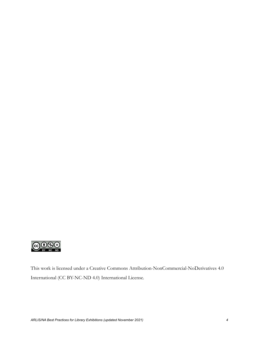

This work is licensed under a Creative Commons Attribution-NonCommercial-NoDerivatives 4.0 International (CC BY-NC-ND 4.0) International License.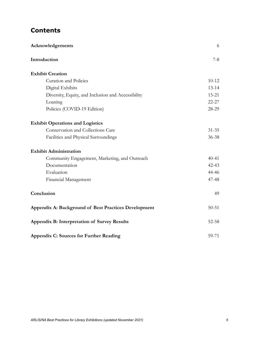# **Contents**

| Acknowledgements                                     | 6         |
|------------------------------------------------------|-----------|
| Introduction                                         | $7 - 8$   |
| <b>Exhibit Creation</b>                              |           |
| <b>Curation and Policies</b>                         | $10 - 12$ |
| Digital Exhibits                                     | $13 - 14$ |
| Diversity, Equity, and Inclusion and Accessibility   | $15 - 21$ |
| Loaning                                              | $22 - 27$ |
| Policies (COVID-19 Edition)                          | 28-29     |
| <b>Exhibit Operations and Logistics</b>              |           |
| Conservation and Collections Care                    | $31 - 35$ |
| Facilities and Physical Surroundings                 | $36 - 38$ |
| <b>Exhibit Administration</b>                        |           |
| Community Engagement, Marketing, and Outreach        | $40 - 41$ |
| Documentation                                        | $42 - 43$ |
| Evaluation                                           | 44-46     |
| Financial Management                                 | 47-48     |
| Conclusion                                           | 49        |
| Appendix A: Background of Best Practices Development | $50 - 51$ |
| Appendix B: Interpretation of Survey Results         | $52 - 58$ |
| <b>Appendix C: Sources for Further Reading</b>       | 59-71     |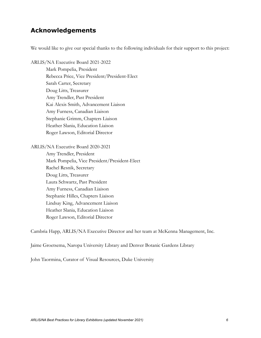# **Acknowledgements**

We would like to give our special thanks to the following individuals for their support to this project:

ARLIS/NA Executive Board 2021-2022 Mark Pompelia, President Rebecca Price, Vice President/President-Elect Sarah Carter, Secretary Doug Litts, Treasurer Amy Trendler, Past President Kai Alexis Smith, Advancement Liaison Amy Furness, Canadian Liaison Stephanie Grimm, Chapters Liaison Heather Slania, Education Liaison Roger Lawson, Editorial Director

ARLIS/NA Executive Board 2020-2021

Amy Trendler, President Mark Pompelia, Vice President/President-Elect Rachel Resnik, Secretary Doug Litts, Treasurer Laura Schwartz, Past President Amy Furness, Canadian Liaison Stephanie Hilles, Chapters Liaison Lindsay King, Advancement Liaison Heather Slania, Education Liaison Roger Lawson, Editorial Director

Cambria Happ, ARLIS/NA Executive Director and her team at McKenna Management, Inc.

Jaime Groetsema, Naropa University Library and Denver Botanic Gardens Library

John Taormina, Curator of Visual Resources, Duke University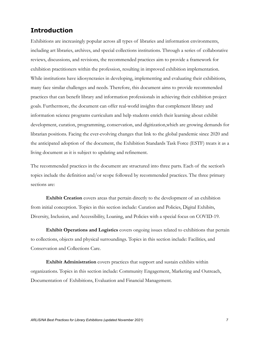# **Introduction**

Exhibitions are increasingly popular across all types of libraries and information environments, including art libraries, archives, and special collections institutions. Through a series of collaborative reviews, discussions, and revisions, the recommended practices aim to provide a framework for exhibition practitioners within the profession, resulting in improved exhibition implementation. While institutions have idiosyncrasies in developing, implementing and evaluating their exhibitions, many face similar challenges and needs. Therefore, this document aims to provide recommended practices that can benefit library and information professionals in achieving their exhibition project goals. Furthermore, the document can offer real-world insights that complement library and information science programs curriculum and help students enrich their learning about exhibit development, curation, programming, conservation, and digitization,which are growing demands for librarian positions. Facing the ever-evolving changes that link to the global pandemic since 2020 and the anticipated adoption of the document, the Exhibition Standards Task Force (ESTF) treats it as a living document as it is subject to updating and refinement.

The recommended practices in the document are structured into three parts. Each of the section's topics include the definition and/or scope followed by recommended practices. The three primary sections are:

**Exhibit Creation** covers areas that pertain directly to the development of an exhibition from initial conception. Topics in this section include: Curation and Policies, Digital Exhibits, Diversity, Inclusion, and Accessibility, Loaning, and Policies with a special focus on COVID-19.

**Exhibit Operations and Logistics** covers ongoing issues related to exhibitions that pertain to collections, objects and physical surroundings. Topics in this section include: Facilities, and Conservation and Collections Care.

**Exhibit Administration** covers practices that support and sustain exhibits within organizations. Topics in this section include: Community Engagement, Marketing and Outreach, Documentation of Exhibitions, Evaluation and Financial Management.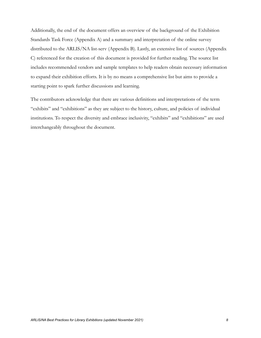Additionally, the end of the document offers an overview of the background of the Exhibition Standards Task Force (Appendix A) and a summary and interpretation of the online survey distributed to the ARLIS/NA list-serv (Appendix B). Lastly, an extensive list of sources (Appendix C) referenced for the creation of this document is provided for further reading. The source list includes recommended vendors and sample templates to help readers obtain necessary information to expand their exhibition efforts. It is by no means a comprehensive list but aims to provide a starting point to spark further discussions and learning.

The contributors acknowledge that there are various definitions and interpretations of the term "exhibits" and "exhibitions" as they are subject to the history, culture, and policies of individual institutions. To respect the diversity and embrace inclusivity, "exhibits" and "exhibitions" are used interchangeably throughout the document.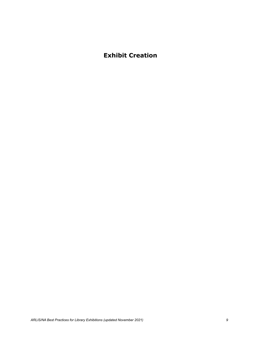# **Exhibit Creation**

*ARLIS/NA Best Practices for Library Exhibitions (updated November 2021) 9*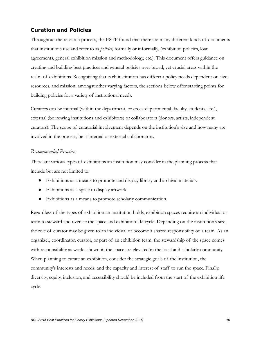## **Curation and Policies**

Throughout the research process, the ESTF found that there are many different kinds of documents that institutions use and refer to as *policies,* formally or informally, (exhibition policies, loan agreements, general exhibition mission and methodology, etc.). This document offers guidance on creating and building best practices and general policies over broad, yet crucial areas within the realm of exhibitions. Recognizing that each institution has different policy needs dependent on size, resources, and mission, amongst other varying factors, the sections below offer starting points for building policies for a variety of institutional needs.

Curators can be internal (within the department, or cross-departmental, faculty, students, etc.), external (borrowing institutions and exhibitors) or collaborators (donors, artists, independent curators). The scope of curatorial involvement depends on the institution's size and how many are involved in the process, be it internal or external collaborators.

#### *Recommended Practices*

There are various types of exhibitions an institution may consider in the planning process that include but are not limited to:

- Exhibitions as a means to promote and display library and archival materials.
- Exhibitions as a space to display artwork.
- Exhibitions as a means to promote scholarly communication.

Regardless of the types of exhibition an institution holds, exhibition spaces require an individual or team to steward and oversee the space and exhibition life cycle. Depending on the institution's size, the role of curator may be given to an individual or become a shared responsibility of a team. As an organizer, coordinator, curator, or part of an exhibition team, the stewardship of the space comes with responsibility as works shown in the space are elevated in the local and scholarly community. When planning to curate an exhibition, consider the strategic goals of the institution, the community's interests and needs, and the capacity and interest of staff to run the space. Finally, diversity, equity, inclusion, and accessibility should be included from the start of the exhibition life cycle.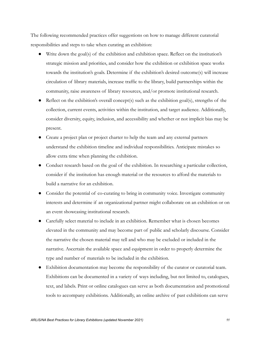The following recommended practices offer suggestions on how to manage different curatorial responsibilities and steps to take when curating an exhibition:

- Write down the goal(s) of the exhibition and exhibition space. Reflect on the institution's strategic mission and priorities, and consider how the exhibition or exhibition space works towards the institution's goals. Determine if the exhibition's desired outcome(s) will increase circulation of library materials, increase traffic to the library, build partnerships within the community, raise awareness of library resources, and/or promote institutional research.
- Reflect on the exhibition's overall concept(s) such as the exhibition goal(s), strengths of the collection, current events, activities within the institution, and target audience. Additionally, consider diversity, equity, inclusion, and accessibility and whether or not implicit bias may be present.
- Create a project plan or project charter to help the team and any external partners understand the exhibition timeline and individual responsibilities. Anticipate mistakes so allow extra time when planning the exhibition.
- Conduct research based on the goal of the exhibition. In researching a particular collection, consider if the institution has enough material or the resources to afford the materials to build a narrative for an exhibition.
- Consider the potential of co-curating to bring in community voice. Investigate community interests and determine if an organizational partner might collaborate on an exhibition or on an event showcasing institutional research.
- Carefully select material to include in an exhibition. Remember what is chosen becomes elevated in the community and may become part of public and scholarly discourse. Consider the narrative the chosen material may tell and who may be excluded or included in the narrative. Ascertain the available space and equipment in order to properly determine the type and number of materials to be included in the exhibition.
- Exhibition documentation may become the responsibility of the curator or curatorial team. Exhibitions can be documented in a variety of ways including, but not limited to, catalogues, text, and labels. Print or online catalogues can serve as both documentation and promotional tools to accompany exhibitions. Additionally, an online archive of past exhibitions can serve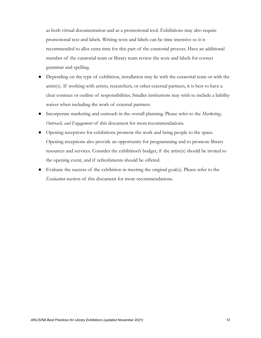as both virtual documentation and as a promotional tool. Exhibitions may also require promotional text and labels. Writing texts and labels can be time intensive so it is recommended to allot extra time for this part of the curatorial process. Have an additional member of the curatorial team or library team review the texts and labels for correct grammar and spelling.

- Depending on the type of exhibition, installation may lie with the curatorial team or with the artist(s). If working with artists, researchers, or other external partners, it is best to have a clear contract or outline of responsibilities. Smaller institutions may wish to include a liability waiver when including the work of external partners.
- Incorporate marketing and outreach in the overall planning. Please refer to the *Marketing, Outreach, and Engagement* of this document for more recommendations.
- Opening receptions for exhibitions promote the work and bring people to the space. Opening receptions also provide an opportunity for programming and to promote library resources and services. Consider the exhibition's budget, if the artist(s) should be invited to the opening event, and if refreshments should be offered.
- Evaluate the success of the exhibition in meeting the original goal(s). Please refer to the *Evaluation* section of this document for more recommendations.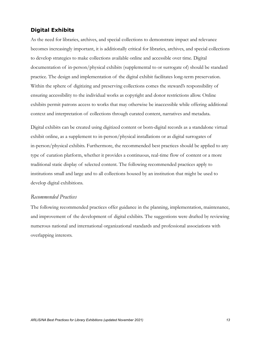## **Digital Exhibits**

As the need for libraries, archives, and special collections to demonstrate impact and relevance becomes increasingly important, it is additionally critical for libraries, archives, and special collections to develop strategies to make collections available online and accessible over time. Digital documentation of in-person/physical exhibits (supplemental to or surrogate of) should be standard practice. The design and implementation of the digital exhibit facilitates long-term preservation. Within the sphere of digitizing and preserving collections comes the steward's responsibility of ensuring accessibility to the individual works as copyright and donor restrictions allow. Online exhibits permit patrons access to works that may otherwise be inaccessible while offering additional context and interpretation of collections through curated content, narratives and metadata.

Digital exhibits can be created using digitized content or born-digital records as a standalone virtual exhibit online, as a supplement to in-person/physical installations or as digital surrogates of in-person/physical exhibits. Furthermore, the recommended best practices should be applied to any type of curation platform, whether it provides a continuous, real-time flow of content or a more traditional static display of selected content. The following recommended practices apply to institutions small and large and to all collections housed by an institution that might be used to develop digital exhibitions.

### *Recommended Practices*

The following recommended practices offer guidance in the planning, implementation, maintenance, and improvement of the development of digital exhibits. The suggestions were drafted by reviewing numerous national and international organizational standards and professional associations with overlapping interests.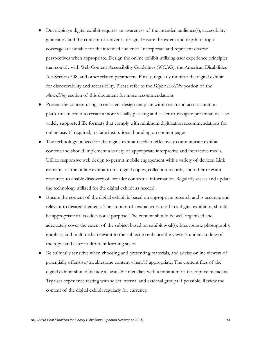- Developing a digital exhibit requires an awareness of the intended audience(s), accessibility guidelines, and the concept of universal design. Ensure the extent and depth of topic coverage are suitable for the intended audience. Incorporate and represent diverse perspectives when appropriate. Design the online exhibit utilizing user experience principles that comply with Web Content Accessibility Guidelines (WCAG), the American Disabilities Act Section 508, and other related parameters. Finally, regularly monitor the digital exhibit for discoverability and accessibility. Please refer to the *Digital Exhibits* portion of the *Accessibility* section of this document for more recommendations.
- Present the content using a consistent design template within each and across curation platforms in order to create a more visually pleasing and easier-to-navigate presentation. Use widely supported file formats that comply with minimum digitization recommendations for online use. If required, include institutional branding on content pages.
- The technology utilized for the digital exhibit needs to effectively communicate exhibit content and should implement a variety of appropriate interpretive and interactive media. Utilize responsive web design to permit mobile engagement with a variety of devices. Link elements of the online exhibit to full digital copies, collection records, and other relevant resources to enable discovery of broader contextual information. Regularly assess and update the technology utilized for the digital exhibit as needed.
- Ensure the content of the digital exhibit is based on appropriate research and is accurate and relevant to desired theme(s). The amount of textual work used in a digital exhibition should be appropriate to its educational purpose. The content should be well organized and adequately cover the extent of the subject based on exhibit goal(s). Incorporate photographs, graphics, and multimedia relevant to the subject to enhance the viewer's understanding of the topic and cater to different learning styles.
- Be culturally sensitive when choosing and presenting materials, and advise online viewers of potentially offensive/troublesome content when/if appropriate. The content files of the digital exhibit should include all available metadata with a minimum of descriptive metadata. Try user experience testing with select internal and external groups if possible. Review the content of the digital exhibit regularly for currency.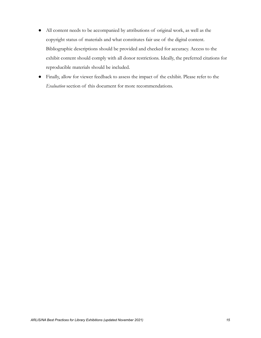- All content needs to be accompanied by attributions of original work, as well as the copyright status of materials and what constitutes fair use of the digital content. Bibliographic descriptions should be provided and checked for accuracy. Access to the exhibit content should comply with all donor restrictions. Ideally, the preferred citations for reproducible materials should be included.
- Finally, allow for viewer feedback to assess the impact of the exhibit. Please refer to the *Evaluation* section of this document for more recommendations.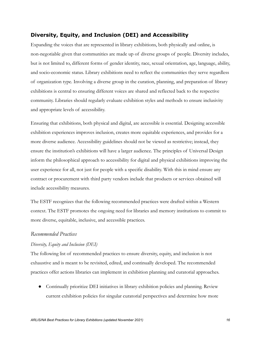## **Diversity, Equity, and Inclusion (DEI) and Accessibility**

Expanding the voices that are represented in library exhibitions, both physically and online, is non-negotiable given that communities are made up of diverse groups of people. Diversity includes, but is not limited to, different forms of gender identity, race, sexual orientation, age, language, ability, and socio-economic status. Library exhibitions need to reflect the communities they serve regardless of organization type. Involving a diverse group in the curation, planning, and preparation of library exhibitions is central to ensuring different voices are shared and reflected back to the respective community. Libraries should regularly evaluate exhibition styles and methods to ensure inclusivity and appropriate levels of accessibility.

Ensuring that exhibitions, both physical and digital, are accessible is essential. Designing accessible exhibition experiences improves inclusion, creates more equitable experiences, and provides for a more diverse audience. Accessibility guidelines should not be viewed as restrictive; instead, they ensure the institution's exhibitions will have a larger audience. The principles of Universal Design inform the philosophical approach to accessibility for digital and physical exhibitions improving the user experience for all, not just for people with a specific disability. With this in mind ensure any contract or procurement with third party vendors include that products or services obtained will include accessibility measures.

The ESTF recognizes that the following recommended practices were drafted within a Western context. The ESTF promotes the ongoing need for libraries and memory institutions to commit to more diverse, equitable, inclusive, and accessible practices.

#### *Recommended Practices*

#### *Diversity, Equity and Inclusion (DEI)*

The following list of recommended practices to ensure diversity, equity, and inclusion is not exhaustive and is meant to be revisited, edited, and continually developed. The recommended practices offer actions libraries can implement in exhibition planning and curatorial approaches.

● Continually prioritize DEI initiatives in library exhibition policies and planning. Review current exhibition policies for singular curatorial perspectives and determine how more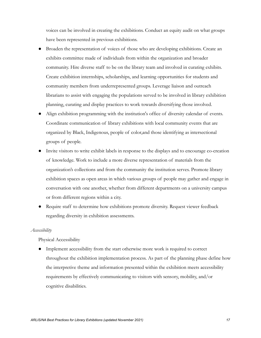voices can be involved in creating the exhibitions. Conduct an equity audit on what groups have been represented in previous exhibitions.

- Broaden the representation of voices of those who are developing exhibitions. Create an exhibits committee made of individuals from within the organization and broader community. Hire diverse staff to be on the library team and involved in curating exhibits. Create exhibition internships, scholarships, and learning opportunities for students and community members from underrepresented groups. Leverage liaison and outreach librarians to assist with engaging the populations served to be involved in library exhibition planning, curating and display practices to work towards diversifying those involved.
- Align exhibition programming with the institution's office of diversity calendar of events. Coordinate communication of library exhibitions with local community events that are organized by Black, Indigenous, people of color,and those identifying as intersectional groups of people.
- Invite visitors to write exhibit labels in response to the displays and to encourage co-creation of knowledge. Work to include a more diverse representation of materials from the organization's collections and from the community the institution serves. Promote library exhibition spaces as open areas in which various groups of people may gather and engage in conversation with one another, whether from different departments on a university campus or from different regions within a city.
- Require staff to determine how exhibitions promote diversity. Request viewer feedback regarding diversity in exhibition assessments.

#### *Accessibility*

#### Physical Accessibility

● Implement accessibility from the start otherwise more work is required to correct throughout the exhibition implementation process. As part of the planning phase define how the interpretive theme and information presented within the exhibition meets accessibility requirements by effectively communicating to visitors with sensory, mobility, and/or cognitive disabilities.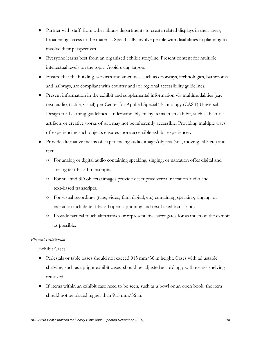- Partner with staff from other library departments to create related displays in their areas, broadening access to the material. Specifically involve people with disabilities in planning to involve their perspectives.
- Everyone learns best from an organized exhibit storyline. Present content for multiple intellectual levels on the topic. Avoid using jargon.
- Ensure that the building, services and amenities, such as doorways, technologies, bathrooms and hallways, are compliant with country and/or regional accessibility guidelines.
- Present information in the exhibit and supplemental information via multimodalities (e.g. text, audio, tactile, visual) per Center for Applied Special Technology (CAST) Universal Design for Learning guidelines. Understandably, many items in an exhibit, such as historic artifacts or creative works of art, may not be inherently accessible. Providing multiple ways of experiencing such objects ensures more accessible exhibit experiences.
- Provide alternative means of experiencing audio, image/objects (still, moving, 3D, etc) and text:
	- For analog or digital audio containing speaking, singing, or narration offer digital and analog text-based transcripts.
	- For still and 3D objects/images provide descriptive verbal narration audio and text-based transcripts.
	- For visual recordings (tape, video, film, digital, etc) containing speaking, singing, or narration include text-based open captioning and text-based transcripts.
	- Provide tactical touch alternatives or representative surrogates for as much of the exhibit as possible.

#### *Physical Installation*

Exhibit Cases

- Pedestals or table bases should not exceed 915 mm/36 in height. Cases with adjustable shelving, such as upright exhibit cases, should be adjusted accordingly with excess shelving removed.
- If items within an exhibit case need to be seen, such as a bowl or an open book, the item should not be placed higher than 915 mm/36 in.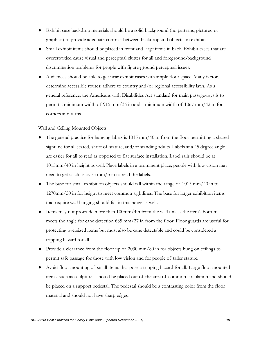- Exhibit case backdrop materials should be a solid background (no patterns, pictures, or graphics) to provide adequate contrast between backdrop and objects on exhibit.
- Small exhibit items should be placed in front and large items in back. Exhibit cases that are overcrowded cause visual and perceptual clutter for all and foreground-background discrimination problems for people with figure-ground perceptual issues.
- Audiences should be able to get near exhibit cases with ample floor space. Many factors determine accessible routes; adhere to country and/or regional accessibility laws. As a general reference, the Americans with Disabilities Act standard for main passageways is to permit a minimum width of 915 mm/36 in and a minimum width of 1067 mm/42 in for corners and turns.

#### Wall and Ceiling Mounted Objects

- The general practice for hanging labels is  $1015 \text{ mm}/40$  in from the floor permitting a shared sightline for all seated, short of stature, and/or standing adults. Labels at a 45 degree angle are easier for all to read as opposed to flat surface installation. Label rails should be at 1015mm/40 in height as well. Place labels in a prominent place; people with low vision may need to get as close as 75 mm/3 in to read the labels.
- The base for small exhibition objects should fall within the range of  $1015 \text{ mm}/40$  in to 1270mm/50 in for height to meet common sightlines. The base for larger exhibition items that require wall hanging should fall in this range as well.
- Items may not protrude more than  $100$ mm/4in from the wall unless the item's bottom meets the angle for cane detection 685 mm/27 in from the floor. Floor guards are useful for protecting oversized items but must also be cane detectable and could be considered a tripping hazard for all.
- Provide a clearance from the floor up of 2030 mm/80 in for objects hung on ceilings to permit safe passage for those with low vision and for people of taller stature.
- Avoid floor mounting of small items that pose a tripping hazard for all. Large floor mounted items, such as sculptures, should be placed out of the area of common circulation and should be placed on a support pedestal. The pedestal should be a contrasting color from the floor material and should not have sharp edges.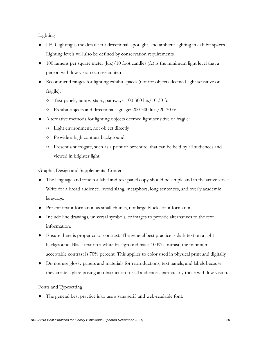Lighting

- LED lighting is the default for directional, spotlight, and ambient lighting in exhibit spaces. Lighting levels will also be defined by conservation requirements.
- 100 lumens per square meter (lux)/10 foot candles (fc) is the minimum light level that a person with low vision can see an item.
- Recommend ranges for lighting exhibit spaces (not for objects deemed light sensitive or fragile):
	- Text panels, ramps, stairs, pathways: 100-300 lux/10-30 fc
	- Exhibit objects and directional signage: 200-300 lux /20-30 fc
- Alternative methods for lighting objects deemed light sensitive or fragile:
	- Light environment, not object directly
	- Provide a high contrast background
	- Present a surrogate, such as a print or brochure, that can be held by all audiences and viewed in brighter light

Graphic Design and Supplemental Content

- The language and tone for label and text panel copy should be simple and in the active voice. Write for a broad audience. Avoid slang, metaphors, long sentences, and overly academic language.
- Present text information as small chunks, not large blocks of information.
- Include line drawings, universal symbols, or images to provide alternatives to the text information.
- Ensure there is proper color contrast. The general best practice is dark text on a light background. Black text on a white background has a 100% contrast; the minimum acceptable contrast is 70% percent. This applies to color used in physical print and digitally.
- Do not use glossy papers and materials for reproductions, text panels, and labels because they create a glare posing an obstruction for all audiences, particularly those with low vision.

Fonts and Typesetting

The general best practice is to use a sans serif and web-readable font.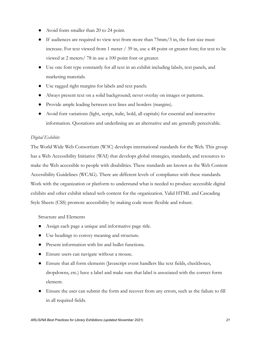- Avoid fonts smaller than 20 to 24 point.
- $\bullet$  If audiences are required to view text from more than  $75 \text{mm/s}$  in, the font size must increase. For text viewed from 1 meter / 39 in, use a 48 point or greater font; for text to be viewed at 2 meters/ 78 in use a 100 point font or greater.
- Use one font type constantly for all text in an exhibit including labels, text panels, and marketing materials.
- Use ragged right margins for labels and text panels.
- Always present text on a solid background; never overlay on images or patterns.
- Provide ample leading between text lines and borders (margins).
- Avoid font variations (light, script, italic, bold, all capitals) for essential and instructive information. Quotations and underlining are an alternative and are generally perceivable.

#### *Digital Exhibits*

The World Wide Web Consortium (W3C) develops international standards for the Web. This group has a Web Accessibility Initiative (WAI) that develops global strategies, standards, and resources to make the Web accessible to people with disabilities. These standards are known as the Web Content Accessibility Guidelines (WCAG). There are different levels of compliance with these standards. Work with the organization or platform to understand what is needed to produce accessible digital exhibits and other exhibit related web content for the organization. Valid HTML an[d](https://webaim.org/techniques/css/) Cascading Style Sheets (CSS) promote accessibility by making code more flexible and robust.

Structure and Elements

- Assign each page a unique and informative page title.
- Use headings to convey meaning and structure.
- Present information with list and bullet functions.
- Ensure users can navigate without a mouse.
- Ensure that all form elements (Javascript event handlers like text fields, checkboxes, dropdowns, etc.) have a label and make sure that label is associated with the correct form element.
- Ensure the user can submit the form and recover from any errors, such as the failure to fill in all required fields.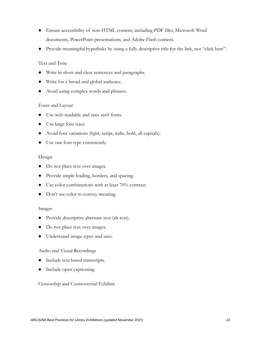- Ensure accessibility of non-HTML content, including PDF files, Microsoft Word documents, PowerPoint presentations, and Adobe Flash content.
- Provide meaningful hyperlinks by using a fully descriptive title for the link, not "click here".

#### Text and Tone

- Write in short and clear sentences and paragraphs.
- Write for a broad and global audience.
- Avoid using complex words and phrases.

#### Fonts and Layout

- Use web-readable and sans serif fonts.
- Use large font sizes.
- Avoid font variations (light, script, italic, bold, all capitals).
- Use one font type consistently.

#### Design

- Do not place text over images.
- Provide ample leading, borders, and spacing.
- Use color combinations with at least 70% contrast.
- Don't use color to convey meaning.

#### Images

- Provide descriptive alternate text (alt text).
- Do not place text over images.
- Understand image types and uses.

#### Audio and Visual Recordings

- Include text based transcripts.
- Include open captioning.

#### Censorship and Controversial Exhibits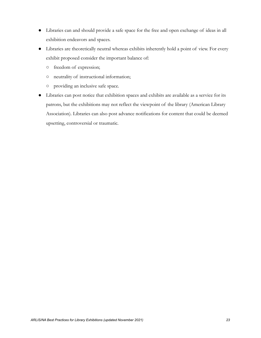- Libraries can and should provide a safe space for the free and open exchange of ideas in all exhibition endeavors and spaces.
- Libraries are theoretically neutral whereas exhibits inherently hold a point of view. For every exhibit proposed consider the important balance of:
	- freedom of expression;
	- neutrality of instructional information;
	- providing an inclusive safe space.
- Libraries can post notice that exhibition spaces and exhibits are available as a service for its patrons, but the exhibitions may not reflect the viewpoint of the library (American Library Association). Libraries can also post advance notifications for content that could be deemed upsetting, controversial or traumatic.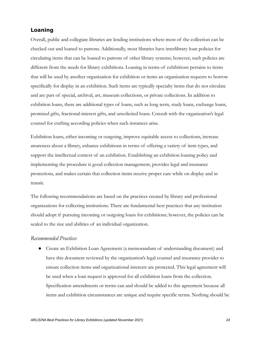## **Loaning**

Overall, public and collegiate libraries are lending institutions where most of the collection can be checked out and loaned to patrons. Additionally, most libraries have interlibrary loan policies for circulating items that can be loaned to patrons of other library systems; however, such policies are different from the needs for library exhibitions. Loaning in terms of exhibitions pertains to items that will be used by another organization for exhibition or items an organization requests to borrow specifically for display in an exhibition. Such items are typically specialty items that do not circulate and are part of special, archival, art, museum collections, or private collections. In addition to exhibition loans, there are additional types of loans, such as long term, study loans, exchange loans, promised gifts, fractional-interest gifts, and unsolicited loans. Consult with the organization's legal counsel for crafting according policies when such instances arise.

Exhibition loans, either incoming or outgoing, improve equitable access to collections, increase awareness about a library, enhance exhibitions in terms of offering a variety of item types, and support the intellectual context of an exhibition. Establishing an exhibition loaning policy and implementing the procedure is good collection management, provides legal and insurance protections, and makes certain that collection items receive proper care while on display and in transit.

The following recommendations are based on the practices created by library and professional organizations for collecting institutions. There are fundamental best practices that any institution should adopt if pursuing incoming or outgoing loans for exhibitions; however, the policies can be scaled to the size and abilities of an individual organization.

#### *Recommended Practices*

● Create an Exhibition Loan Agreement (a memorandum of understanding document) and have this document reviewed by the organization's legal counsel and insurance provider to ensure collection items and organizational interests are protected. This legal agreement will be used when a loan request is approved for all exhibition loans from the collection. Specification amendments or terms can and should be added to this agreement because all items and exhibition circumstances are unique and require specific terms. Nothing should be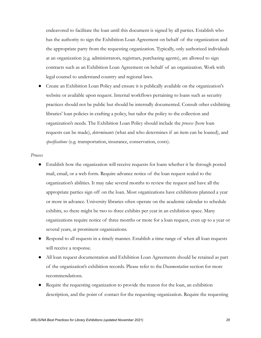endeavored to facilitate the loan until this document is signed by all parties. Establish who has the authority to sign the Exhibition Loan Agreement on behalf of the organization and the appropriate party from the requesting organization. Typically, only authorized individuals at an organization (e.g. administrators, registrars, purchasing agents), are allowed to sign contracts such as an Exhibition Loan Agreement on behalf of an organization. Work with legal counsel to understand country and regional laws.

Create an Exhibition Loan Policy and ensure it is publically available on the organization's website or available upon request. Internal workflows pertaining to loans such as security practices should not be public but should be internally documented. Consult other exhibiting libraries' loan policies in crafting a policy, but tailor the policy to the collection and organization's needs. The Exhibition Loan Policy should include the *process* (how loan requests can be made), *determinants* (what and who determines if an item can be loaned), and *specifications* (e.g. transportation, insurance, conservation, costs).

#### *Process*

- Establish how the organization will receive requests for loans whether it be through posted mail, email, or a web form. Require advance notice of the loan request scaled to the organization's abilities. It may take several months to review the request and have all the appropriate parties sign off on the loan. Most organizations have exhibitions planned a year or more in advance. University libraries often operate on the academic calendar to schedule exhibits, so there might be two to three exhibits per year in an exhibition space. Many organizations require notice of three months or more for a loan request, even up to a year or several years, at prominent organizations.
- Respond to all requests in a timely manner. Establish a time range of when all loan requests will receive a response.
- All loan request documentation and Exhibition Loan Agreements should be retained as part of the organization's exhibition records. Please refer to the*Documentation* section for more recommendations.
- Require the requesting organization to provide the reason for the loan, an exhibition description, and the point of contact for the requesting organization. Require the requesting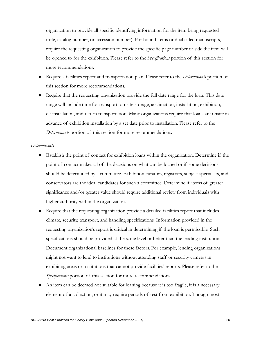organization to provide all specific identifying information for the item being requested (title, catalog number, or accession number). For bound items or dual sided manuscripts, require the requesting organization to provide the specific page number or side the item will be opened to for the exhibition. Please refer to the *Specifications* portion of this section for more recommendations.

- Require a facilities report and transportation plan. Please refer to the *Determinants* portion of this section for more recommendations.
- Require that the requesting organization provide the full date range for the loan. This date range will include time for transport, on-site storage, acclimation, installation, exhibition, de-installation, and return transportation. Many organizations require that loans are onsite in advance of exhibition installation by a set date prior to installation. Please refer to the *Determinants* portion of this section for more recommendations.

#### *Determinants*

- Establish the point of contact for exhibition loans within the organization. Determine if the point of contact makes all of the decisions on what can be loaned or if some decisions should be determined by a committee. Exhibition curators, registrars, subject specialists, and conservators are the ideal candidates for such a committee. Determine if items of greater significance and/or greater value should require additional review from individuals with higher authority within the organization.
- Require that the requesting organization provide a detailed facilities report that includes climate, security, transport, and handling specifications. Information provided in the requesting organization's report is critical in determining if the loan is permissible. Such specifications should be provided at the same level or better than the lending institution. Document organizational baselines for these factors. For example, lending organizations might not want to lend to institutions without attending staff or security cameras in exhibiting areas or institutions that cannot provide facilities' reports. Please refer to the *Specifications* portion of this section for more recommendations.
- An item can be deemed not suitable for loaning because it is too fragile, it is a necessary element of a collection, or it may require periods of rest from exhibition. Though most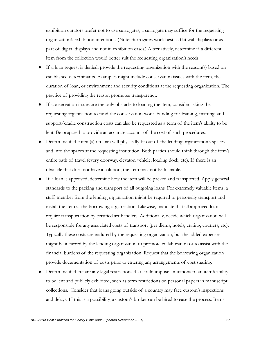exhibition curators prefer not to use surrogates, a surrogate may suffice for the requesting organization's exhibition intentions. (Note: Surrogates work best as flat wall displays or as part of digital displays and not in exhibition cases.) Alternatively, determine if a different item from the collection would better suit the requesting organization's needs.

- If a loan request is denied, provide the requesting organization with the reason(s) based on established determinants. Examples might include conservation issues with the item, the duration of loan, or environment and security conditions at the requesting organization. The practice of providing the reason promotes transparency.
- If conservation issues are the only obstacle to loaning the item, consider asking the requesting organization to fund the conservation work. Funding for framing, matting, and support/cradle construction costs can also be requested as a term of the item's ability to be lent. Be prepared to provide an accurate account of the cost of such procedures.
- Determine if the item(s) on loan will physically fit out of the lending organization's spaces and into the spaces at the requesting institution. Both parties should think through the item's entire path of travel (every doorway, elevator, vehicle, loading dock, etc). If there is an obstacle that does not have a solution, the item may not be loanable.
- If a loan is approved, determine how the item will be packed and transported. Apply general standards to the packing and transport of all outgoing loans. For extremely valuable items, a staff member from the lending organization might be required to personally transport and install the item at the borrowing organization. Likewise, mandate that all approved loans require transportation by certified art handlers. Additionally, decide which organization will be responsible for any associated costs of transport (per diems, hotels, crating, couriers, etc). Typically these costs are endured by the requesting organization, but the added expenses might be incurred by the lending organization to promote collaboration or to assist with the financial burdens of the requesting organization. Request that the borrowing organization provide documentation of costs prior to entering any arrangements of cost sharing.
- Determine if there are any legal restrictions that could impose limitations to an item's ability to be lent and publicly exhibited, such as term restrictions on personal papers in manuscript collections. Consider that loans going outside of a country may face custom's inspections and delays. If this is a possibility, a custom's broker can be hired to ease the process. Items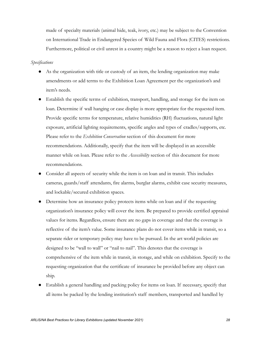made of specialty materials (animal hide, teak, ivory, etc.) may be subject to the Convention on International Trade in Endangered Species of Wild Fauna and Flora (CITES) restrictions. Furthermore, political or civil unrest in a country might be a reason to reject a loan request.

#### *Specifications*

- As the organization with title or custody of an item, the lending organization may make amendments or add terms to the Exhibition Loan Agreement per the organization's and item's needs.
- Establish the specific terms of exhibition, transport, handling, and storage for the item on loan. Determine if wall hanging or case display is more appropriate for the requested item. Provide specific terms for temperature, relative humidities (RH) fluctuations, natural light exposure, artificial lighting requirements, specific angles and types of cradles/supports, etc. Please refer to the *Exhibition Conservation* section of this document for more recommendations. Additionally, specify that the item will be displayed in an accessible manner while on loan. Please refer to the *Accessibility* section of this document for more recommendations.
- Consider all aspects of security while the item is on loan and in transit. This includes cameras, guards/staff attendants, fire alarms, burglar alarms, exhibit case security measures, and lockable/secured exhibition spaces.
- Determine how an insurance policy protects items while on loan and if the requesting organization's insurance policy will cover the item. Be prepared to provide certified appraisal values for items. Regardless, ensure there are no gaps in coverage and that the coverage is reflective of the item's value. Some insurance plans do not cover items while in transit, so a separate rider or temporary policy may have to be pursued. In the art world policies are designed to be "wall to wall" or "nail to nail". This denotes that the coverage is comprehensive of the item while in transit, in storage, and while on exhibition. Specify to the requesting organization that the certificate of insurance be provided before any object can ship.
- Establish a general handling and packing policy for items on loan. If necessary, specify that all items be packed by the lending institution's staff members, transported and handled by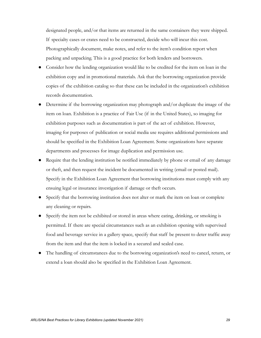designated people, and/or that items are returned in the same containers they were shipped. If specialty cases or crates need to be constructed, decide who will incur this cost. Photographically document, make notes, and refer to the item's condition report when packing and unpacking. This is a good practice for both lenders and borrowers.

- Consider how the lending organization would like to be credited for the item on loan in the exhibition copy and in promotional materials. Ask that the borrowing organization provide copies of the exhibition catalog so that these can be included in the organization's exhibition records documentation.
- Determine if the borrowing organization may photograph and/or duplicate the image of the item on loan. Exhibition is a practice of Fair Use (if in the United States), so imaging for exhibition purposes such as documentation is part of the act of exhibition. However, imaging for purposes of publication or social media use requires additional permissions and should be specified in the Exhibition Loan Agreement. Some organizations have separate departments and processes for image duplication and permission use.
- Require that the lending institution be notified immediately by phone or email of any damage or theft, and then request the incident be documented in writing (email or posted mail). Specify in the Exhibition Loan Agreement that borrowing institutions must comply with any ensuing legal or insurance investigation if damage or theft occurs.
- Specify that the borrowing institution does not alter or mark the item on loan or complete any cleaning or repairs.
- Specify the item not be exhibited or stored in areas where eating, drinking, or smoking is permitted. If there are special circumstances such as an exhibition opening with supervised food and beverage service in a gallery space, specify that staff be present to deter traffic away from the item and that the item is locked in a secured and sealed case.
- The handling of circumstances due to the borrowing organization's need to cancel, return, or extend a loan should also be specified in the Exhibition Loan Agreement.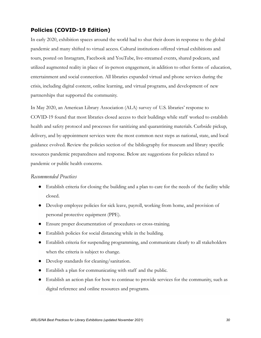# **Policies (COVID-19 Edition)**

In early 2020, exhibition spaces around the world had to shut their doors in response to the global pandemic and many shifted to virtual access. Cultural institutions offered virtual exhibitions and tours, posted on Instagram, Facebook and YouTube, live-streamed events, shared podcasts, and utilized augmented reality in place of in-person engagement, in addition to other forms of education, entertainment and social connection. All libraries expanded virtual and phone services during the crisis, including digital content, online learning, and virtual programs, and development of new partnerships that supported the community.

In May 2020, an American Library Association (ALA) survey of U.S. libraries' response to COVID-19 found that most libraries closed access to their buildings while staff worked to establish health and safety protocol and processes for sanitizing and quarantining materials. Curbside pickup, delivery, and by-appointment services were the most common next steps as national, state, and local guidance evolved. Review the policies section of the bibliography for museum and library specific resources pandemic preparedness and response. Below are suggestions for policies related to pandemic or public health concerns.

#### *Recommended Practices*

- Establish criteria for closing the building and a plan to care for the needs of the facility while closed.
- Develop employee policies for sick leave, payroll, working from home, and provision of personal protective equipment (PPE).
- Ensure proper documentation of procedures or cross-training.
- Establish policies for social distancing while in the building.
- Establish criteria for suspending programming, and communicate clearly to all stakeholders when the criteria is subject to change.
- Develop standards for cleaning/sanitation.
- Establish a plan for communicating with staff and the public.
- Establish an action plan for how to continue to provide services for the community, such as digital reference and online resources and programs.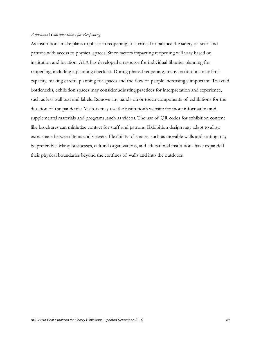#### *Additional Considerations for Reopening*

As institutions make plans to phase-in reopening, it is critical to balance the safety of staff and patrons with access to physical spaces. Since factors impacting reopening will vary based on institution and location, ALA has developed a resource for individual libraries planning for reopening, including a planning checklist. During phased reopening, many institutions may limit capacity, making careful planning for spaces and the flow of people increasingly important. To avoid bottlenecks, exhibition spaces may consider adjusting practices for interpretation and experience, such as less wall text and labels. Remove any hands-on or touch components of exhibitions for the duration of the pandemic. Visitors may use the institution's website for more information and supplemental materials and programs, such as videos. The use of QR codes for exhibition content like brochures can minimize contact for staff and patrons. Exhibition design may adapt to allow extra space between items and viewers. Flexibility of spaces, such as movable walls and seating may be preferable. Many businesses, cultural organizations, and educational institutions have expanded their physical boundaries beyond the confines of walls and into the outdoors.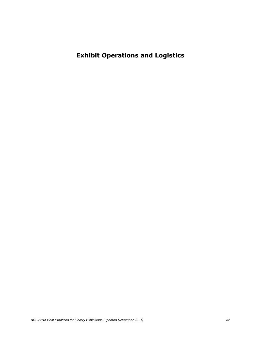**Exhibit Operations and Logistics**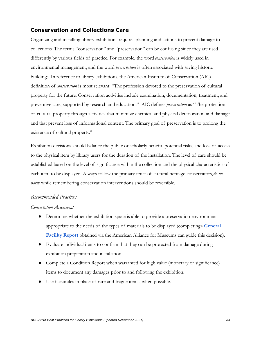## **Conservation and Collections Care**

Organizing and installing library exhibitions requires planning and actions to prevent damage to collections. The terms "conservation" and "preservation" can be confusing since they are used differently by various fields of practice. For example, the word*conservation* is widely used in environmental management, and the word *preservation* is often associated with saving historic buildings. In reference to library exhibitions, the American Institute of Conservation (AIC) definition of *conservation* is most relevant: "The profession devoted to the preservation of cultural property for the future. Conservation activities include examination, documentation, treatment, and preventive care, supported by research and education." AIC defines *preservation* as "The protection of cultural property through activities that minimize chemical and physical deterioration and damage and that prevent loss of informational content. The primary goal of preservation is to prolong the existence of cultural property."

Exhibition decisions should balance the public or scholarly benefit, potential risks, and loss of access to the physical item by library users for the duration of the installation. The level of care should be established based on the level of significance within the collection and the physical characteristics of each item to be displayed. Always follow the primary tenet of cultural heritage conservators, *do no harm* while remembering conservation interventions should be reversible.

#### *Recommended Practices*

#### *Conservation Assessment*

- Determine whether the exhibition space is able to provide a preservation environment appropriate to the needs of the types of materials to be displayed (completing**a [General](https://ww2.aam-us.org/ProductCatalog/Product?ID=891) [Facility Report](https://ww2.aam-us.org/ProductCatalog/Product?ID=891)** obtained via the American Alliance for Museums can guide this decision).
- Evaluate individual items to confirm that they can be protected from damage during exhibition preparation and installation.
- Complete a Condition Report when warranted for high value (monetary or significance) items to document any damages prior to and following the exhibition.
- Use facsimiles in place of rare and fragile items, when possible.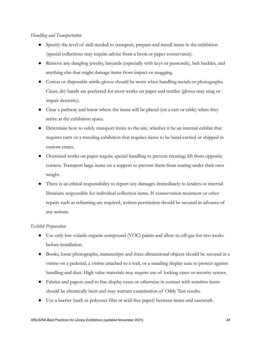#### *Handling and Transportation*

- Specify the level of skill needed to transport, prepare and install items in the exhibition (special collections may require advice from a book or paper conservator).
- Remove any dangling jewelry, lanyards (especially with keys or passcards), belt buckles, and anything else that might damage items from impact or snagging.
- Cotton or disposable nitrile gloves should be worn when handling metals or photographs. Clean, dry hands are preferred for most works on paper and textiles (gloves may snag or impair dexterity).
- Clear a pathway and know where the items will be placed (on a cart or table) when they arrive at the exhibition space.
- Determine how to safely transport items to the site, whether it be an internal exhibit that requires carts or a traveling exhibition that requires items to be hand-carried or shipped in custom crates.
- Oversized works on paper require special handling to prevent creasing; lift from opposite corners. Transport large items on a support to prevent them from tearing under their own weight.
- There is an ethical responsibility to report any damages immediately to lenders or internal librarians responsible for individual collection items. If conservation treatment or other repairs such as reframing are required, written permission should be secured in advance of any actions.

#### *Exhibit Preparation*

- Use only low volatile organic compound (VOC) paints and allow to off-gas for two weeks before installation.
- Books, loose photographs, manuscripts and three-dimensional objects should be secured in a vitrine on a pedestal, a vitrine attached to a wall, or a standing display case to protect against handling and dust. High value materials may require use of locking cases or security screws.
- Fabrics and papers used to line display cases or otherwise in contact with sensitive items should be chemically inert and may warrant examination of Oddy Test results.
- Use a barrier (such as polyester film or acid-free paper) between items and casework.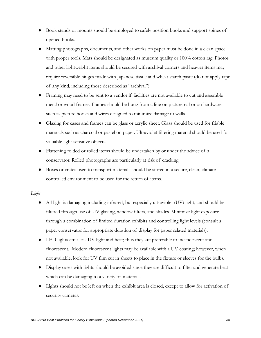- Book stands or mounts should be employed to safely position books and support spines of opened books.
- Matting photographs, documents, and other works on paper must be done in a clean space with proper tools. Mats should be designated as museum quality or 100% cotton rag. Photos and other lightweight items should be secured with archival corners and heavier items may require reversible hinges made with Japanese tissue and wheat starch paste (do not apply tape of any kind, including those described as "archival").
- Framing may need to be sent to a vendor if facilities are not available to cut and assemble metal or wood frames. Frames should be hung from a line on picture rail or on hardware such as picture hooks and wires designed to minimize damage to walls.
- Glazing for cases and frames can be glass or acrylic sheet. Glass should be used for friable materials such as charcoal or pastel on paper. Ultraviolet filtering material should be used for valuable light sensitive objects.
- Flattening folded or rolled items should be undertaken by or under the advice of a conservator. Rolled photographs are particularly at risk of cracking.
- Boxes or crates used to transport materials should be stored in a secure, clean, climate controlled environment to be used for the return of items.

#### *Light*

- All light is damaging including infrared, but especially ultraviolet (UV) light, and should be filtered through use of UV glazing, window filters, and shades. Minimize light exposure through a combination of limited duration exhibits and controlling light levels (consult a paper conservator for appropriate duration of display for paper related materials).
- LED lights emit less UV light and heat; thus they are preferable to incandescent and fluorescent. Modern fluorescent lights may be available with a UV coating; however, when not available, look for UV film cut in sheets to place in the fixture or sleeves for the bulbs.
- Display cases with lights should be avoided since they are difficult to filter and generate heat which can be damaging to a variety of materials.
- Lights should not be left on when the exhibit area is closed, except to allow for activation of security cameras.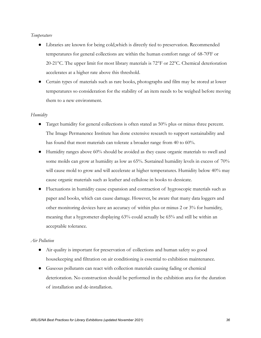#### *Temperature*

- Libraries are known for being cold,which is directly tied to preservation. Recommended temperatures for general collections are within the human comfort range of 68-70°F or 20-21°C. The upper limit for most library materials is 72°F or 22°C. Chemical deterioration accelerates at a higher rate above this threshold.
- Certain types of materials such as rare books, photographs and film may be stored at lower temperatures so consideration for the stability of an item needs to be weighed before moving them to a new environment.

#### *Humidity*

- Target humidity for general collections is often stated as 50% plus or minus three percent. The Image Permanence Institute has done extensive research to support sustainability and has found that most materials can tolerate a broader range from 40 to 60%.
- Humidity ranges above 60% should be avoided as they cause organic materials to swell and some molds can grow at humidity as low as 65%. Sustained humidity levels in excess of 70% will cause mold to grow and will accelerate at higher temperatures. Humidity below 40% may cause organic materials such as leather and cellulose in books to dessicate.
- Fluctuations in humidity cause expansion and contraction of hygroscopic materials such as paper and books, which can cause damage. However, be aware that many data loggers and other monitoring devices have an accuracy of within plus or minus 2 or 3% for humidity, meaning that a hygrometer displaying 63% could actually be 65% and still be within an acceptable tolerance.

#### *Air Pollution*

- Air quality is important for preservation of collections and human safety so good housekeeping and filtration on air conditioning is essential to exhibition maintenance.
- Gaseous pollutants can react with collection materials causing fading or chemical deterioration. No construction should be performed in the exhibition area for the duration of installation and de-installation.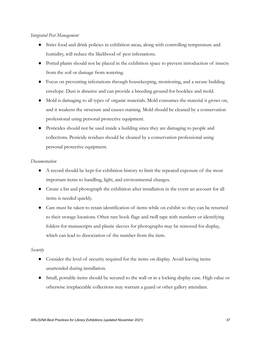#### *Integrated Pest Management*

- Strict food and drink policies in exhibition areas, along with controlling temperature and humidity, will reduce the likelihood of pest infestations.
- Potted plants should not be placed in the exhibition space to prevent introduction of insects from the soil or damage from watering.
- Focus on preventing infestations through housekeeping, monitoring, and a secure building envelope. Dust is abrasive and can provide a breeding ground for booklice and mold.
- Mold is damaging to all types of organic materials. Mold consumes the material it grows on, and it weakens the structure and causes staining. Mold should be cleaned by a conservation professional using personal protective equipment.
- Pesticides should not be used inside a building since they are damaging to people and collections. Pesticide residues should be cleaned by a conservation professional using personal protective equipment.

#### *Documentation*

- A record should be kept for exhibition history to limit the repeated exposure of the most important items to handling, light, and environmental changes.
- Create a list and photograph the exhibition after installation in the event an account for all items is needed quickly.
- Care must be taken to retain identification of items while on exhibit so they can be returned to their storage locations. Often rare book flags and twill tape with numbers or identifying folders for manuscripts and plastic sleeves for photographs may be removed for display, which can lead to dissociation of the number from the item.

#### *Security*

- Consider the level of security required for the items on display. Avoid leaving items unattended during installation.
- Small, portable items should be secured to the wall or in a locking display case. High value or otherwise irreplaceable collections may warrant a guard or other gallery attendant.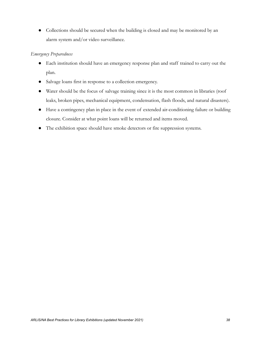● Collections should be secured when the building is closed and may be monitored by an alarm system and/or video surveillance.

### *Emergency Preparedness*

- Each institution should have an emergency response plan and staff trained to carry out the plan.
- Salvage loans first in response to a collection emergency.
- Water should be the focus of salvage training since it is the most common in libraries (roof leaks, broken pipes, mechanical equipment, condensation, flash floods, and natural disasters).
- Have a contingency plan in place in the event of extended air-conditioning failure or building closure. Consider at what point loans will be returned and items moved.
- The exhibition space should have smoke detectors or fire suppression systems.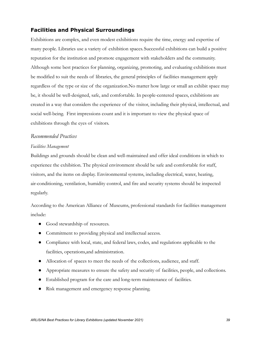# **Facilities and Physical Surroundings**

Exhibitions are complex, and even modest exhibitions require the time, energy and expertise of many people. Libraries use a variety of exhibition spaces. Successful exhibitions can build a positive reputation for the institution and promote engagement with stakeholders and the community. Although some best practices for planning, organizing, promoting, and evaluating exhibitions must be modified to suit the needs of libraries, the general principles of facilities management apply regardless of the type or size of the organization.No matter how large or small an exhibit space may be, it should be well-designed, safe, and comfortable. In people-centered spaces, exhibitions are created in a way that considers the experience of the visitor, including their physical, intellectual, and social well-being. First impressions count and it is important to view the physical space of exhibitions through the eyes of visitors.

#### *Recommended Practices*

#### *Facilities Management*

Buildings and grounds should be clean and well-maintained and offer ideal conditions in which to experience the exhibition. The physical environment should be safe and comfortable for staff, visitors, and the items on display. Environmental systems, including electrical, water, heating, air-conditioning, ventilation, humidity control, and fire and security systems should be inspected regularly.

According to the American Alliance of Museums, professional standards for facilities management include:

- Good stewardship of resources.
- Commitment to providing physical and intellectual access.
- Compliance with local, state, and federal laws, codes, and regulations applicable to the facilities, operations,and administration.
- Allocation of spaces to meet the needs of the collections, audience, and staff.
- Appropriate measures to ensure the safety and security of facilities, people, and collections.
- Established program for the care and long-term maintenance of facilities.
- Risk management and emergency response planning.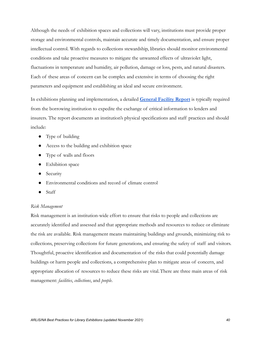Although the needs of exhibition spaces and collections will vary, institutions must provide proper storage and environmental controls, maintain accurate and timely documentation, and ensure proper intellectual control. With regards to collections stewardship, libraries should monitor environmental conditions and take proactive measures to mitigate the unwanted effects of ultraviolet light, fluctuations in temperature and humidity, air pollution, damage or loss, pests, and natural disasters. Each of these areas of concern can be complex and extensive in terms of choosing the right parameters and equipment and establishing an ideal and secure environment.

In exhibitions planning and implementation, a detailed **[General Facility Report](https://ww2.aam-us.org/ProductCatalog/Product?ID=891)** is typically required from the borrowing institution to expedite the exchange of critical information to lenders and insurers. The report documents an institution's physical specifications and staff practices and should include:

- Type of building
- Access to the building and exhibition space
- Type of walls and floors
- Exhibition space
- Security
- Environmental conditions and record of climate control
- Staff

#### *Risk Management*

Risk management is an institution-wide effort to ensure that risks to people and collections are accurately identified and assessed and that appropriate methods and resources to reduce or eliminate the risk are available. Risk management means maintaining buildings and grounds, minimizing risk to collections, preserving collections for future generations, and ensuring the safety of staff and visitors. Thoughtful, proactive identification and documentation of the risks that could potentially damage buildings or harm people and collections, a comprehensive plan to mitigate areas of concern, and appropriate allocation of resources to reduce these risks are vital.There are three main areas of risk management: *facilities*, *collections*, and *people*.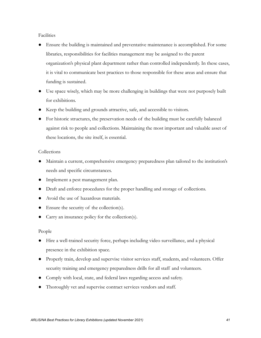Facilities

- Ensure the building is maintained and preventative maintenance is accomplished. For some libraries, responsibilities for facilities management may be assigned to the parent organization's physical plant department rather than controlled independently. In these cases, it is vital to communicate best practices to those responsible for these areas and ensure that funding is sustained.
- Use space wisely, which may be more challenging in buildings that were not purposely built for exhibitions.
- Keep the building and grounds attractive, safe, and accessible to visitors.
- For historic structures, the preservation needs of the building must be carefully balanced against risk to people and collections. Maintaining the most important and valuable asset of these locations, the site itself, is essential.

#### Collections

- Maintain a current, comprehensive emergency preparedness plan tailored to the institution's needs and specific circumstances.
- Implement a pest management plan.
- Draft and enforce procedures for the proper handling and storage of collections.
- Avoid the use of hazardous materials.
- Ensure the security of the collection(s).
- Carry an insurance policy for the collection(s).

#### People

- Hire a well-trained security force, perhaps including video surveillance, and a physical presence in the exhibition space.
- Properly train, develop and supervise visitor services staff, students, and volunteers. Offer security training and emergency preparedness drills for all staff and volunteers.
- Comply with local, state, and federal laws regarding access and safety.
- Thoroughly vet and supervise contract services vendors and staff.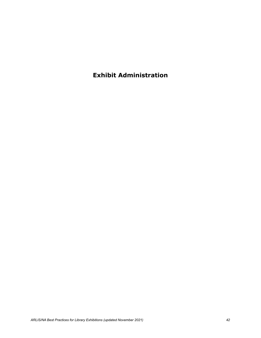**Exhibit Administration**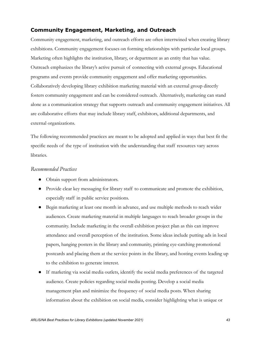# **Community Engagement, Marketing, and Outreach**

Community engagement, marketing, and outreach efforts are often intertwined when creating library exhibitions. Community engagement focuses on forming relationships with particular local groups. Marketing often highlights the institution, library, or department as an entity that has value. Outreach emphasizes the library's active pursuit of connecting with external groups. Educational programs and events provide community engagement and offer marketing opportunities. Collaboratively developing library exhibition marketing material with an external group directly fosters community engagement and can be considered outreach. Alternatively, marketing can stand alone as a communication strategy that supports outreach and community engagement initiatives. All are collaborative efforts that may include library staff, exhibitors, additional departments, and external organizations.

The following recommended practices are meant to be adopted and applied in ways that best fit the specific needs of the type of institution with the understanding that staff resources vary across libraries.

#### *Recommended Practices*

- Obtain support from administrators.
- Provide clear key messaging for library staff to communicate and promote the exhibition, especially staff in public service positions.
- Begin marketing at least one month in advance, and use multiple methods to reach wider audiences. Create marketing material in multiple languages to reach broader groups in the community. Include marketing in the overall exhibition project plan as this can improve attendance and overall perception of the institution. Some ideas include putting ads in local papers, hanging posters in the library and community, printing eye-catching promotional postcards and placing them at the service points in the library, and hosting events leading up to the exhibition to generate interest.
- If marketing via social media outlets, identify the social media preferences of the targeted audience. Create policies regarding social media posting. Develop a social media management plan and minimize the frequency of social media posts. When sharing information about the exhibition on social media, consider highlighting what is unique or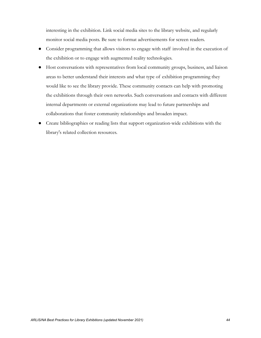interesting in the exhibition. Link social media sites to the library website, and regularly monitor social media posts. Be sure to format advertisements for screen readers.

- Consider programming that allows visitors to engage with staff involved in the execution of the exhibition or to engage with augmented reality technologies.
- Host conversations with representatives from local community groups, business, and liaison areas to better understand their interests and what type of exhibition programming they would like to see the library provide. These community contacts can help with promoting the exhibitions through their own networks. Such conversations and contacts with different internal departments or external organizations may lead to future partnerships and collaborations that foster community relationships and broaden impact.
- Create bibliographies or reading lists that support organization-wide exhibitions with the library's related collection resources.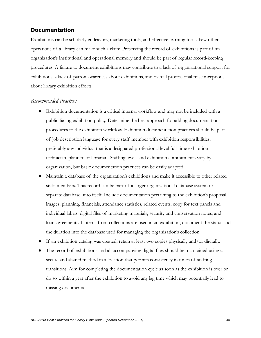# **Documentation**

Exhibitions can be scholarly endeavors, marketing tools, and effective learning tools. Few other operations of a library can make such a claim.Preserving the record of exhibitions is part of an organization's institutional and operational memory and should be part of regular record-keeping procedures. A failure to document exhibitions may contribute to a lack of organizational support for exhibitions, a lack of patron awareness about exhibitions, and overall professional misconceptions about library exhibition efforts.

#### *Recommended Practices*

- Exhibition documentation is a critical internal workflow and may not be included with a public facing exhibition policy. Determine the best approach for adding documentation procedures to the exhibition workflow. Exhibition documentation practices should be part of job description language for every staff member with exhibition responsibilities, preferably any individual that is a designated professional level full-time exhibition technician, planner, or librarian. Staffing levels and exhibition commitments vary by organization, but basic documentation practices can be easily adapted.
- Maintain a database of the organization's exhibitions and make it accessible to other related staff members. This record can be part of a larger organizational database system or a separate database unto itself. Include documentation pertaining to the exhibition's proposal, images, planning, financials, attendance statistics, related events, copy for text panels and individual labels, digital files of marketing materials, security and conservation notes, and loan agreements. If items from collections are used in an exhibition, document the status and the duration into the database used for managing the organization's collection.
- If an exhibition catalog was created, retain at least two copies physically and/or digitally.
- The record of exhibitions and all accompanying digital files should be maintained using a secure and shared method in a location that permits consistency in times of staffing transitions. Aim for completing the documentation cycle as soon as the exhibition is over or do so within a year after the exhibition to avoid any lag time which may potentially lead to missing documents.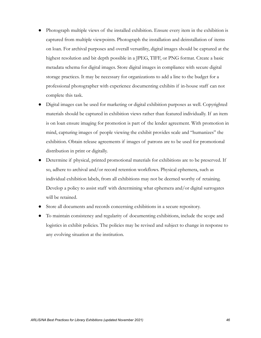- Photograph multiple views of the installed exhibition. Ensure every item in the exhibition is captured from multiple viewpoints. Photograph the installation and deinstallation of items on loan. For archival purposes and overall versatility, digital images should be captured at the highest resolution and bit depth possible in a JPEG, TIFF, or PNG format. Create a basic metadata schema for digital images. Store digital images in compliance with secure digital storage practices. It may be necessary for organizations to add a line to the budget for a professional photographer with experience documenting exhibits if in-house staff can not complete this task.
- Digital images can be used for marketing or digital exhibition purposes as well. Copyrighted materials should be captured in exhibition views rather than featured individually. If an item is on loan ensure imaging for promotion is part of the lender agreement. With promotion in mind, capturing images of people viewing the exhibit provides scale and "humanizes" the exhibition. Obtain release agreements if images of patrons are to be used for promotional distribution in print or digitally.
- Determine if physical, printed promotional materials for exhibitions are to be preserved. If so, adhere to archival and/or record retention workflows. Physical ephemera, such as individual exhibition labels, from all exhibitions may not be deemed worthy of retaining. Develop a policy to assist staff with determining what ephemera and/or digital surrogates will be retained.
- Store all documents and records concerning exhibitions in a secure repository.
- To maintain consistency and regularity of documenting exhibitions, include the scope and logistics in exhibit policies. The policies may be revised and subject to change in response to any evolving situation at the institution.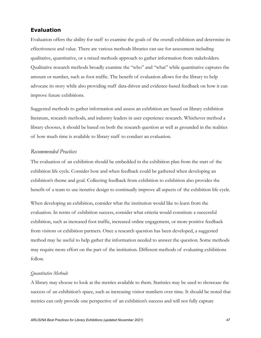## **Evaluation**

Evaluation offers the ability for staff to examine the goals of the overall exhibition and determine its effectiveness and value. There are various methods libraries can use for assessment including qualitative, quantitative, or a mixed methods approach to gather information from stakeholders. Qualitative research methods broadly examine the "who" and "what" while quantitative captures the amount or number, such as foot traffic. The benefit of evaluation allows for the library to help advocate its story while also providing staff data-driven and evidence-based feedback on how it can improve future exhibitions.

Suggested methods to gather information and assess an exhibition are based on library exhibition literature, research methods, and industry leaders in user experience research. Whichever method a library chooses, it should be based on both the research question as well as grounded in the realities of how much time is available to library staff to conduct an evaluation.

#### *Recommended Practices*

The evaluation of an exhibition should be embedded in the exhibition plan from the start of the exhibition life cycle. Consider how and when feedback could be gathered when developing an exhibition's theme and goal. Collecting feedback from exhibition to exhibition also provides the benefit of a team to use iterative design to continually improve all aspects of the exhibition life cycle.

When developing an exhibition, consider what the institution would like to learn from the evaluation. In terms of exhibition success, consider what criteria would constitute a successful exhibition, such as increased foot traffic, increased online engagement, or more positive feedback from visitors or exhibition partners. Once a research question has been developed, a suggested method may be useful to help gather the information needed to answer the question. Some methods may require more effort on the part of the institution. Different methods of evaluating exhibitions follow.

#### *Quantitative Methods*

A library may choose to look at the metrics available to them. Statistics may be used to showcase the success of an exhibition's space, such as increasing visitor numbers over time. It should be noted that metrics can only provide one perspective of an exhibition's success and will not fully capture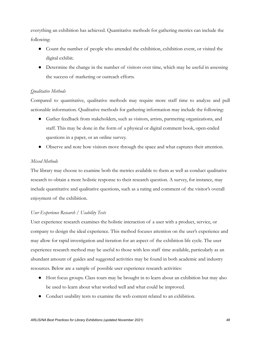everything an exhibition has achieved. Quantitative methods for gathering metrics can include the following:

- Count the number of people who attended the exhibition, exhibition event, or visited the digital exhibit.
- Determine the change in the number of visitors over time, which may be useful in assessing the success of marketing or outreach efforts.

#### *Qualitative Methods*

Compared to quantitative, qualitative methods may require more staff time to analyze and pull actionable information. Qualitative methods for gathering information may include the following:

- Gather feedback from stakeholders, such as visitors, artists, partnering organizations, and staff. This may be done in the form of a physical or digital comment book, open-ended questions in a paper, or an online survey.
- Observe and note how visitors move through the space and what captures their attention.

#### *Mixed Methods*

The library may choose to examine both the metrics available to them as well as conduct qualitative research to obtain a more holistic response to their research question. A survey, for instance, may include quantitative and qualitative questions, such as a rating and comment of the visitor's overall enjoyment of the exhibition.

#### *User Experience Research / Usability Tests*

User experience research examines the holistic interaction of a user with a product, service, or company to design the ideal experience. This method focuses attention on the user's experience and may allow for rapid investigation and iteration for an aspect of the exhibition life cycle. The user experience research method may be useful to those with less staff time available, particularly as an abundant amount of guides and suggested activities may be found in both academic and industry resources. Below are a sample of possible user experience research activities:

- Host focus groups. Class tours may be brought in to learn about an exhibition but may also be used to learn about what worked well and what could be improved.
- Conduct usability tests to examine the web content related to an exhibition.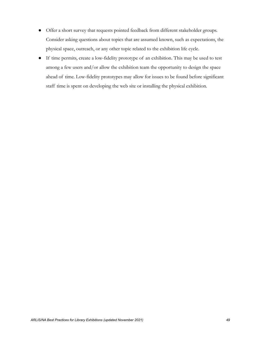- Offer a short survey that requests pointed feedback from different stakeholder groups. Consider asking questions about topics that are assumed known, such as expectations, the physical space, outreach, or any other topic related to the exhibition life cycle.
- If time permits, create a low-fidelity prototype of an exhibition. This may be used to test among a few users and/or allow the exhibition team the opportunity to design the space ahead of time. Low-fidelity prototypes may allow for issues to be found before significant staff time is spent on developing the web site or installing the physical exhibition.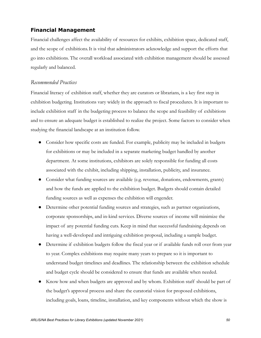# **Financial Management**

Financial challenges affect the availability of resources for exhibits, exhibition space, dedicated staff, and the scope of exhibitions.It is vital that administrators acknowledge and support the efforts that go into exhibitions. The overall workload associated with exhibition management should be assessed regularly and balanced.

#### *Recommended Practices*

Financial literacy of exhibition staff, whether they are curators or librarians, is a key first step in exhibition budgeting. Institutions vary widely in the approach to fiscal procedures. It is important to include exhibition staff in the budgeting process to balance the scope and feasibility of exhibitions and to ensure an adequate budget is established to realize the project. Some factors to consider when studying the financial landscape at an institution follow.

- Consider how specific costs are funded. For example, publicity may be included in budgets for exhibitions or may be included in a separate marketing budget handled by another department. At some institutions, exhibitors are solely responsible for funding all costs associated with the exhibit, including shipping, installation, publicity, and insurance.
- Consider what funding sources are available (e.g. revenue, donations, endowments, grants) and how the funds are applied to the exhibition budget. Budgets should contain detailed funding sources as well as expenses the exhibition will engender.
- Determine other potential funding sources and strategies, such as partner organizations, corporate sponsorships, and in-kind services. Diverse sources of income will minimize the impact of any potential funding cuts. Keep in mind that successful fundraising depends on having a well-developed and intriguing exhibition proposal, including a sample budget.
- Determine if exhibition budgets follow the fiscal year or if available funds roll over from year to year. Complex exhibitions may require many years to prepare so it is important to understand budget timelines and deadlines. The relationship between the exhibition schedule and budget cycle should be considered to ensure that funds are available when needed.
- Know how and when budgets are approved and by whom. Exhibition staff should be part of the budget's approval process and share the curatorial vision for proposed exhibitions, including goals, loans, timeline, installation, and key components without which the show is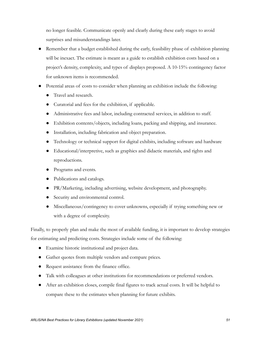no longer feasible. Communicate openly and clearly during these early stages to avoid surprises and misunderstandings later.

- Remember that a budget established during the early, feasibility phase of exhibition planning will be inexact. The estimate is meant as a guide to establish exhibition costs based on a project's density, complexity, and types of displays proposed. A 10-15% contingency factor for unknown items is recommended.
- Potential areas of costs to consider when planning an exhibition include the following:
	- Travel and research.
	- Curatorial and fees for the exhibition, if applicable.
	- Administrative fees and labor, including contracted services, in addition to staff.
	- Exhibition contents/objects, including loans, packing and shipping, and insurance.
	- Installation, including fabrication and object preparation.
	- Technology or technical support for digital exhibits, including software and hardware
	- Educational/interpretive, such as graphics and didactic materials, and rights and reproductions.
	- Programs and events.
	- Publications and catalogs.
	- PR/Marketing, including advertising, website development, and photography.
	- Security and environmental control.
	- Miscellaneous/contingency to cover unknowns, especially if trying something new or with a degree of complexity.

Finally, to properly plan and make the most of available funding, it is important to develop strategies for estimating and predicting costs. Strategies include some of the following:

- Examine historic institutional and project data.
- Gather quotes from multiple vendors and compare prices.
- Request assistance from the finance office.
- Talk with colleagues at other institutions for recommendations or preferred vendors.
- After an exhibition closes, compile final figures to track actual costs. It will be helpful to compare these to the estimates when planning for future exhibits.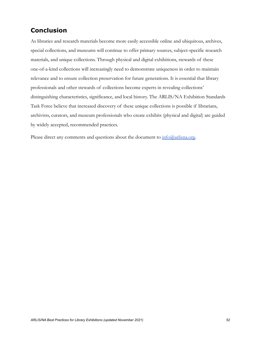# **Conclusion**

As libraries and research materials become more easily accessible online and ubiquitous, archives, special collections, and museums will continue to offer primary sources, subject-specific research materials, and unique collections. Through physical and digital exhibitions, stewards of these one-of-a-kind collections will increasingly need to demonstrate uniqueness in order to maintain relevance and to ensure collection preservation for future generations. It is essential that library professionals and other stewards of collections become experts in revealing collections' distinguishing characteristics, significance, and local history. The ARLIS/NA Exhibition Standards Task Force believe that increased discovery of these unique collections is possible if librarians, archivists, curators, and museum professionals who create exhibits (physical and digital) are guided by widely accepted, recommended practices.

Please direct any comments and questions about the document to  $\inf_{\Omega}(a_{\alpha}$ arlisna.org.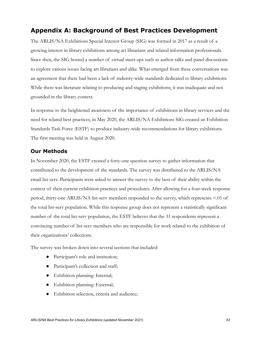# **Appendix A: Background of Best Practices Development**

The ARLIS/NA Exhibitions Special Interest Group (SIG) was formed in 2017 as a result of a growing interest in library exhibitions among art librarians and related information professionals. Since then, the SIG hosted a number of virtual meet-ups such as author talks and panel discussions to explore various issues facing art librarians and alike. What emerged from these conversations was an agreement that there had been a lack of industry-wide standards dedicated to library exhibitions. While there was literature relating to producing and staging exhibitions, it was inadequate and not grounded in the library context.

In response to the heightened awareness of the importance of exhibitions in library services and the need for related best practices, in May 2020, the ARLIS/NA Exhibitions SIG created an Exhibition Standards Task Force (ESTF) to produce industry-wide recommendations for library exhibitions. The first meeting was held in August 2020.

#### **Our Methods**

In November 2020, the ESTF created a forty-one question survey to gather information that contributed to the development of the standards. The survey was distributed to the ARLIS/NA email list-serv. Participants were asked to answer the survey to the best of their ability within the context of their current exhibition practices and procedures. After allowing for a four-week response period, thirty-one ARLIS/NA list-serv members responded to the survey, which represents <.01 of the total list-serv population. While this response group does not represent a statistically significant number of the total list-serv population, the ESTF believes that the 31 respondents represent a convincing number of list-serv members who are responsible for work related to the exhibition of their organizations' collections.

The survey was broken down into several sections that included:

- Participant's role and institution;
- Participant's collection and staff;
- Exhibition planning: Internal;
- Exhibition planning: External;
- Exhibition selection, criteria and audience;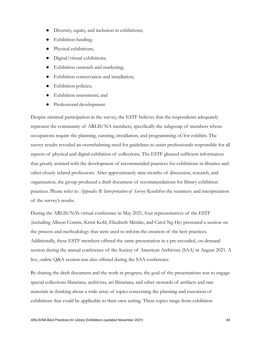- Diversity, equity, and inclusion in exhibitions;
- Exhibition funding;
- Physical exhibitions;
- Digital/virtual exhibitions;
- Exhibition outreach and marketing;
- Exhibition conservation and installation;
- Exhibition policies;
- Exhibition assessment; and
- Professional development.

Despite minimal participation in the survey, the ESTF believes that the respondents adequately represent the community of ARLIS/NA members, specifically the subgroup of members whose occupations require the planning, curating, installation, and programming of/for exhibits. The survey results revealed an overwhelming need for guidelines to assist professionals responsible for all aspects of physical and digital exhibition of collections. The ESTF gleaned sufficient information that greatly assisted with the development of recommended practices for exhibitions in libraries and other closely related professions. After approximately nine months of discussion, research, and organization, the group produced a draft document of recommendations for library exhibition practices. Please refer to *Appendix B: Interpretation of Survey Results*for the summary and interpretation of the survey's results.

During the ARLIS/NA's virtual conference in May 2021, four representatives of the ESTF (including Allison Comrie, Kristi Kohl, Elizabeth Meinke, and Carol Ng-He) presented a session on the process and methodology that were used to inform the creation of the best practices. Additionally, these ESTF members offered the same presentation in a pre-recorded, on-demand session during the annual conference of the Society of American Archivists (SAA) in August 2021. A live, online Q&A session was also offered during the SAA conference.

By sharing the draft document and the work in progress, the goal of the presentations was to engage special collections librarians, archivists, art librarians, and other stewards of artifacts and rare materials in thinking about a wide array of topics concerning the planning and execution of exhibitions that could be applicable to their own setting. These topics range from exhibition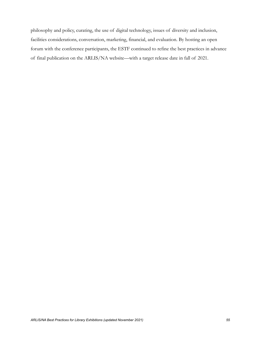philosophy and policy, curating, the use of digital technology, issues of diversity and inclusion, facilities considerations, conversation, marketing, financial, and evaluation. By hosting an open forum with the conference participants, the ESTF continued to refine the best practices in advance of final publication on the ARLIS/NA website—with a target release date in fall of 2021.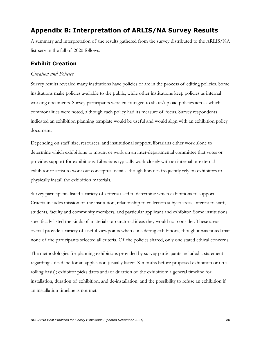# **Appendix B: Interpretation of ARLIS/NA Survey Results**

A summary and interpretation of the results gathered from the survey distributed to the ARLIS/NA list-serv in the fall of 2020 follows.

# **Exhibit Creation**

#### *Curation and Policies*

Survey results revealed many institutions have policies or are in the process of editing policies. Some institutions make policies available to the public, while other institutions keep policies as internal working documents. Survey participants were encouraged to share/upload policies across which commonalities were noted, although each policy had its measure of focus. Survey respondents indicated an exhibition planning template would be useful and would align with an exhibition policy document.

Depending on staff size, resources, and institutional support, librarians either work alone to determine which exhibitions to mount or work on an inter-departmental committee that votes or provides support for exhibitions. Librarians typically work closely with an internal or external exhibitor or artist to work out conceptual details, though libraries frequently rely on exhibitors to physically install the exhibition materials.

Survey participants listed a variety of criteria used to determine which exhibitions to support. Criteria includes mission of the institution, relationship to collection subject areas, interest to staff, students, faculty and community members, and particular applicant and exhibitor. Some institutions specifically listed the kinds of materials or curatorial ideas they would not consider. These areas overall provide a variety of useful viewpoints when considering exhibitions, though it was noted that none of the participants selected all criteria. Of the policies shared, only one stated ethical concerns.

The methodologies for planning exhibitions provided by survey participants included a statement regarding a deadline for an application (usually listed: X months before proposed exhibition or on a rolling basis); exhibitor picks dates and/or duration of the exhibition; a general timeline for installation, duration of exhibition, and de-installation; and the possibility to refuse an exhibition if an installation timeline is not met.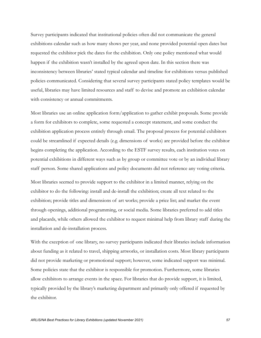Survey participants indicated that institutional policies often did not communicate the general exhibitions calendar such as how many shows per year, and none provided potential open dates but requested the exhibitor pick the dates for the exhibition. Only one policy mentioned what would happen if the exhibition wasn't installed by the agreed upon date. In this section there was inconsistency between libraries' stated typical calendar and timeline for exhibitions versus published policies communicated. Considering that several survey participants stated policy templates would be useful, libraries may have limited resources and staff to devise and promote an exhibition calendar with consistency or annual commitments.

Most libraries use an online application form/application to gather exhibit proposals. Some provide a form for exhibitors to complete, some requested a concept statement, and some conduct the exhibition application process entirely through email. The proposal process for potential exhibitors could be streamlined if expected details (e.g. dimensions of works) are provided before the exhibitor begins completing the application. According to the ESTF survey results, each institution votes on potential exhibitions in different ways such as by group or committee vote or by an individual library staff person. Some shared applications and policy documents did not reference any voting criteria.

Most libraries seemed to provide support to the exhibitor in a limited manner, relying on the exhibitor to do the following: install and de-install the exhibition; create all text related to the exhibition; provide titles and dimensions of art works; provide a price list; and market the event through openings, additional programming, or social media. Some libraries preferred to add titles and placards, while others allowed the exhibitor to request minimal help from library staff during the installation and de-installation process.

With the exception of one library, no survey participants indicated their libraries include information about funding as it related to travel, shipping artworks, or installation costs. Most library participants did not provide marketing or promotional support; however, some indicated support was minimal. Some policies state that the exhibitor is responsible for promotion. Furthermore, some libraries allow exhibitors to arrange events in the space. For libraries that do provide support, it is limited, typically provided by the library's marketing department and primarily only offered if requested by the exhibitor.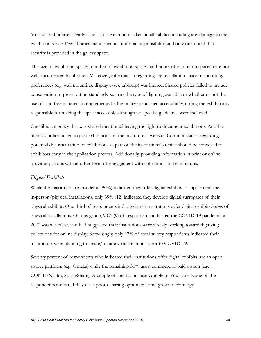Most shared policies clearly state that the exhibitor takes on all liability, including any damage to the exhibition space. Few libraries mentioned institutional responsibility, and only one noted that security is provided in the gallery space.

The size of exhibition spaces, number of exhibition spaces, and hours of exhibition space(s) are not well documented by libraries. Moreover, information regarding the installation space or mounting preferences (e.g. wall mounting, display cases, tabletop) was limited. Shared policies failed to include conservation or preservation standards, such as the type of lighting available or whether or not the use of acid free materials is implemented. One policy mentioned accessibility, noting the exhibitor is responsible for making the space accessible although no specific guidelines were included.

One library's policy that was shared mentioned having the right to document exhibitions. Another library's policy linked to past exhibitions on the institution's website. Communication regarding potential documentation of exhibitions as part of the institutional archive should be conveyed to exhibitors early in the application process. Additionally, providing information in print or online provides patrons with another form of engagement with collections and exhibitions.

#### *Digital Exhibits*

While the majority of respondents (90%) indicated they offer digital exhibits to supplement their in-person/physical installations, only 39% (12) indicated they develop digital surrogates of their physical exhibits. One-third of respondents indicated their institutions offer digital exhibits*instead* of physical installations. Of this group, 90% (9) of respondents indicated the COVID-19 pandemic in 2020 was a catalyst, and half suggested their institutions were already working toward digitizing collections for online display. Surprisingly, only 17% of total survey respondents indicated their institutions were planning to create/initiate virtual exhibits prior to COVID-19.

Seventy percent of respondents who indicated their institutions offer digital exhibits use an open source platform (e.g. Omeka) while the remaining 30% use a commercial/paid option (e.g. CONTENTdm, SpringShare). A couple of institutions use Google or YouTube. None of the respondents indicated they use a photo-sharing option or home-grown technology.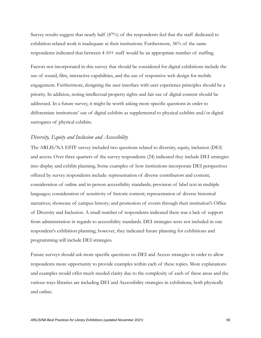Survey results suggest that nearly half (47%) of the respondents feel that the staff dedicated to exhibition-related work is inadequate at their institutions. Furthermore, 36% of the same respondents indicated that between 4-10+ staff would be an appropriate number of staffing.

Factors not incorporated in this survey that should be considered for digital exhibitions include the use of sound, film, interactive capabilities, and the use of responsive web design for mobile engagement. Furthermore, designing the user interface with user experience principles should be a priority. In addition, noting intellectual property rights and fair use of digital content should be addressed. In a future survey, it might be worth asking more specific questions in order to differentiate institutions' use of digital exhibits as supplemental to physical exhibits and/or digital surrogates of physical exhibits.

#### *Diversity, Equity and Inclusion and Accessibility*

The ARLIS/NA ESTF survey included two questions related to diversity, equity, inclusion (DEI) and access. Over three quarters of the survey respondents (24) indicated they include DEI strategies into display and exhibit planning. Some examples of how institutions incorporate DEI perspectives offered by survey respondents include: representation of diverse contributors and content; consideration of online and in-person accessibility standards; provision of label text in multiple languages; consideration of sensitivity of historic content; representation of diverse historical narratives; showcase of campus history; and promotion of events through their institution's Office of Diversity and Inclusion. A small number of respondents indicated there was a lack of support from administration in regards to accessibility standards. DEI strategies were not included in one respondent's exhibition planning; however, they indicated future planning for exhibitions and programming will include DEI strategies.

Future surveys should ask more specific questions on DEI and Access strategies in order to allow respondents more opportunity to provide examples within each of these topics. More explanations and examples would offer much needed clarity due to the complexity of each of these areas and the various ways libraries are including DEI and Accessibility strategies in exhibitions, both physically and online.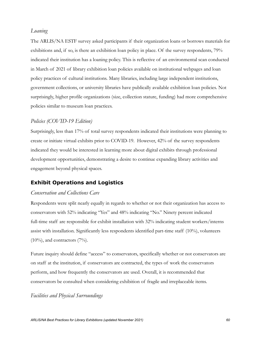## *Loaning*

The ARLIS/NA ESTF survey asked participants if their organization loans or borrows materials for exhibitions and, if so, is there an exhibition loan policy in place. Of the survey respondents, 79% indicated their institution has a loaning policy. This is reflective of an environmental scan conducted in March of 2021 of library exhibition loan policies available on institutional webpages and loan policy practices of cultural institutions. Many libraries, including large independent institutions, government collections, or university libraries have publically available exhibition loan policies. Not surprisingly, higher profile organizations (size, collection stature, funding) had more comprehensive policies similar to museum loan practices.

#### *Policies (COVID-19 Edition)*

Surprisingly, less than 17% of total survey respondents indicated their institutions were planning to create or initiate virtual exhibits prior to COVID-19. However, 42% of the survey respondents indicated they would be interested in learning more about digital exhibits through professional development opportunities, demonstrating a desire to continue expanding library activities and engagement beyond physical spaces.

#### **Exhibit Operations and Logistics**

#### *Conservation and Collections Care*

Respondents were split nearly equally in regards to whether or not their organization has access to conservators with 52% indicating "Yes" and 48% indicating "No." Ninety percent indicated full-time staff are responsible for exhibit installation with 32% indicating student workers/interns assist with installation. Significantly less respondents identified part-time staff (10%), volunteers  $(10\%)$ , and contractors  $(7\%)$ .

Future inquiry should define "access" to conservators, specifically whether or not conservators are on staff at the institution, if conservators are contracted, the types of work the conservators perform, and how frequently the conservators are used. Overall, it is recommended that conservators be consulted when considering exhibition of fragile and irreplaceable items.

## *Facilities and Physical Surroundings*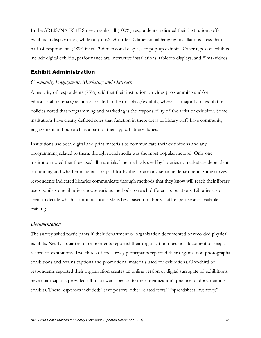In the ARLIS/NA ESTF Survey results, all (100%) respondents indicated their institutions offer exhibits in display cases, while only 65% (20) offer 2-dimensional hanging installations. Less than half of respondents (48%) install 3-dimensional displays or pop-up exhibits. Other types of exhibits include digital exhibits, performance art, interactive installations, tabletop displays, and films/videos.

### **Exhibit Administration**

#### *Community Engagement, Marketing and Outreach*

A majority of respondents (75%) said that their institution provides programming and/or educational materials/resources related to their displays/exhibits, whereas a majority of exhibition policies noted that programming and marketing is the responsibility of the artist or exhibitor. Some institutions have clearly defined roles that function in these areas or library staff have community engagement and outreach as a part of their typical library duties.

Institutions use both digital and print materials to communicate their exhibitions and any programming related to them, though social media was the most popular method. Only one institution noted that they used all materials. The methods used by libraries to market are dependent on funding and whether materials are paid for by the library or a separate department. Some survey respondents indicated libraries communicate through methods that they know will reach their library users, while some libraries choose various methods to reach different populations. Libraries also seem to decide which communication style is best based on library staff expertise and available training

#### *Documentation*

The survey asked participants if their department or organization documented or recorded physical exhibits. Nearly a quarter of respondents reported their organization does not document or keep a record of exhibitions. Two-thirds of the survey participants reported their organization photographs exhibitions and retains captions and promotional materials used for exhibitions. One-third of respondents reported their organization creates an online version or digital surrogate of exhibitions. Seven participants provided fill-in answers specific to their organization's practice of documenting exhibits. These responses included: "save posters, other related texts," "spreadsheet inventory,"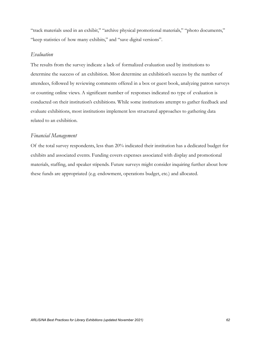"track materials used in an exhibit," "archive physical promotional materials," "photo documents," "keep statistics of how many exhibits," and "save digital versions".

#### *Evaluation*

The results from the survey indicate a lack of formalized evaluation used by institutions to determine the success of an exhibition. Most determine an exhibition's success by the number of attendees, followed by reviewing comments offered in a box or guest book, analyzing patron surveys or counting online views. A significant number of responses indicated no type of evaluation is conducted on their institution's exhibitions. While some institutions attempt to gather feedback and evaluate exhibitions, most institutions implement less structured approaches to gathering data related to an exhibition.

#### *Financial Management*

Of the total survey respondents, less than 20% indicated their institution has a dedicated budget for exhibits and associated events. Funding covers expenses associated with display and promotional materials, staffing, and speaker stipends. Future surveys might consider inquiring further about how these funds are appropriated (e.g. endowment, operations budget, etc.) and allocated.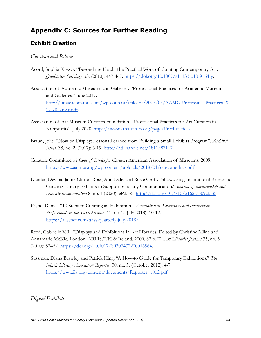# **Appendix C: Sources for Further Reading**

# **Exhibit Creation**

# *Curation and Policies*

- Acord, Sophia Kryzys. "Beyond the Head: The Practical Work of Curating Contemporary Art. *Qualitative Sociology.* 33. (2010): 447-467. [https://doi.org/10.1007/s11133-010-9164-y.](https://doi.org/10.1007/s11133-010-9164-y)
- Association of Academic Museums and Galleries. "Professional Practices for Academic Museums and Galleries." June 2017. [http://umac.icom.museum/wp-content/uploads/2017/05/AAMG-Professinal-Practices-20](http://umac.icom.museum/wp-content/uploads/2017/05/AAMG-Professinal-Practices-2017-v8-single.pdf) [17-v8-single.pdf.](http://umac.icom.museum/wp-content/uploads/2017/05/AAMG-Professinal-Practices-2017-v8-single.pdf)
- Association of Art Museum Curators Foundation. "Professional Practices for Art Curators in Nonprofits". July 2020. [https://www.artcurators.org/page/ProfPractices.](https://www.artcurators.org/page/ProfPractices)
- Braun, Jolie. "Now on Display: Lessons Learned from Building a Small Exhibits Program". *Archival Issues*. 38, no. 2. (2017): 6-19. <http://hdl.handle.net/1811/87117>
- Curators Committee. *A Code of Ethics for Curators*. American Association of Museums. 2009. <https://www.aam-us.org/wp-content/uploads/2018/01/curcomethics.pdf>
- Dandar, Devina, Jaime Clifton-Ross, Ann Dale, and Rosie Croft. "Showcasing Institutional Research: Curating Library Exhibits to Support Scholarly Communication." *Journal of librarianship and scholarly communication* 8, no. 1 (2020): eP2335. <http://doi.org/10.7710/2162-3309.2335>
- Payne, Daniel. "10 Steps to Curating an Exhibition". *Association of Librarians and Information Professionals in the Social Sciences*. 13, no 4. (July 2018): 10-12. <https://alissnet.com/aliss-quarterly-july-2018/>

Reed, Gabrielle V. L. "Displays and Exhibitions in Art Libraries, Edited by Christine Milne and Annamarie McKie, London: ARLIS/UK & Ireland, 2009. 82 p. Ill. *Art Libraries Journal* 35, no. 3 (2010): 52–52. [https://doi.org/10.1017/S0307472200016564.](https://doi.org/10.1017/S0307472200016564)

Sussman, Diana Brawley and Patrick King. "A How-to Guide for Temporary Exhibitions." *The Illinois Library Association Reporter.* 30, no. 5. (October 2012): 4-7. [https://www.ila.org/content/documents/Reporter\\_1012.pdf](https://www.ila.org/content/documents/Reporter_1012.pdf)

*Digital Exhibits*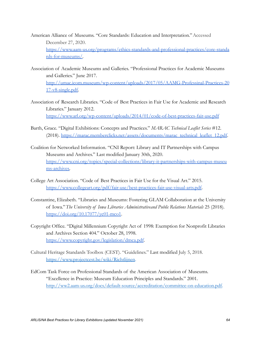- American Alliance of Museums. "Core Standards: Education and Interpretation."Accessed December 27, 2020. [https://www.aam-us.org/programs/ethics-standards-and-professional-practices/core-standa](https://www.aam-us.org/programs/ethics-standards-and-professional-practices/core-standards-for-museums/) [rds-for-museums/.](https://www.aam-us.org/programs/ethics-standards-and-professional-practices/core-standards-for-museums/)
- Association of Academic Museums and Galleries. "Professional Practices for Academic Museums and Galleries." June 2017. [http://umac.icom.museum/wp-content/uploads/2017/05/AAMG-Professinal-Practices-20](http://umac.icom.museum/wp-content/uploads/2017/05/AAMG-Professinal-Practices-2017-v8-single.pdf) [17-v8-single.pdf.](http://umac.icom.museum/wp-content/uploads/2017/05/AAMG-Professinal-Practices-2017-v8-single.pdf)
- Association of Research Libraries. "Code of Best Practices in Fair Use for Academic and Research Libraries." January 2012. <https://www.arl.org/wp-content/uploads/2014/01/code-of-best-practices-fair-use.pdf>
- Barth, Grace. "Digital Exhibitions: Concepts and Practices." *MARAC Technical Leaflet Series* #12. (2018). [https://marac.memberclicks.net/assets/documents/marac\\_technical\\_leaflet\\_12.pdf.](https://marac.memberclicks.net/assets/documents/marac_technical_leaflet_12.pdf)
- Coalition for Networked Information. "CNI Report: Library and IT Partnerships with Campus Museums and Archives." Last modified January 30th, 2020. [https://www.cni.org/topics/special-collections/library-it-partnerships-with-campus-museu](https://www.cni.org/topics/special-collections/library-it-partnerships-with-campus-museums-archives) [ms-archives.](https://www.cni.org/topics/special-collections/library-it-partnerships-with-campus-museums-archives)
- College Art Association. "Code of Best Practices in Fair Use for the Visual Art." 2015. [https://www.collegeart.org/pdf/fair-use/best-practices-fair-use-visual-arts.pdf.](https://www.collegeart.org/pdf/fair-use/best-practices-fair-use-visual-arts.pdf)
- Constantine, Elizabeth. "Libraries and Museums: Fostering GLAM Collaboration at the University of Iowa."*The University of Iowa Libraries Administrativeand Public Relations Materials* 25 (2018). <https://doi.org/10.17077/yc01-mco1>.
- Copyright Office. "Digital Millennium Copyright Act of 1998: Exemption for Nonprofit Libraries and Archives Section 404." October 28, 1998. <https://www.copyright.gov/legislation/dmca.pdf>.
- Cultural Heritage Standards Toolbox (CEST). "Guidelines." Last modified July 5, 2018. [https://www.projectcest.be/wiki/Richtlijnen.](https://www.projectcest.be/wiki/Richtlijnen)
- EdCom Task Force on Professional Standards of the American Association of Museums. "Excellence in Practice: Museum Education Principles and Standards." 2001. [http://ww2.aam-us.org/docs/default-source/accreditation/committee-on-education.pdf.](http://ww2.aam-us.org/docs/default-source/accreditation/committee-on-education.pdf)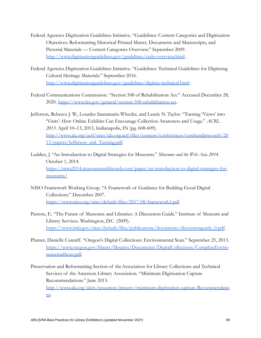- Federal Agencies Digitization Guidelines Initiative. "Guidelines: Content Categories and Digitization Objectives: Reformatting Historical Printed Matter, Documents and Manuscripts, and Pictorial Materials — Content Categories Overview." September 2009. <http://www.digitizationguidelines.gov/guidelines/ccdo-overview.html>.
- Federal Agencies Digitization Guidelines Initiative. "Guidelines: Technical Guidelines for Digitizing Cultural Heritage Materials." September 2016. <http://www.digitizationguidelines.gov/guidelines/digitize-technical.html>.
- Federal Communications Commission*.* "Section 508 of Rehabilitation Act." Accessed December 28, 2020. [https://www.fcc.gov/general/section-508-rehabilitation-act.](https://www.fcc.gov/general/section-508-rehabilitation-act)

Jefferson, Rebecca J. W., Lourdes Santamaría-Wheeler, and Laurie N. Taylor. "Turning 'Views' into 'Visits': How Online Exhibits Can Encourage Collection Awareness and Usage." *ACRL 2013*. April 10–13, 2013, Indianapolis, IN (pg. 608-609). [http://www.ala.org/acrl/sites/ala.org.acrl/files/content/conferences/confsandpreconfs/20](http://www.ala.org/acrl/sites/ala.org.acrl/files/content/conferences/confsandpreconfs/2013/papers/Jefferson_etal_Turning.pdf) [13/papers/Jefferson\\_etal\\_Turning.pdf](http://www.ala.org/acrl/sites/ala.org.acrl/files/content/conferences/confsandpreconfs/2013/papers/Jefferson_etal_Turning.pdf).

Ludden, J. "An Introduction to Digital Strategies for Museums." *Museums and the Web Asia 2014*. October 1, 2014. [https://mwa2014.museumsandtheweb.com/paper/an-introduction-to-digital-strategies-for](https://mwa2014.museumsandtheweb.com/paper/an-introduction-to-digital-strategies-for-museums/)[museums/](https://mwa2014.museumsandtheweb.com/paper/an-introduction-to-digital-strategies-for-museums/)

- NISO Framework Working Group. "A Framework of Guidance for Building Good Digital Collections." December 2007. <https://www.niso.org/sites/default/files/2017-08/framework3.pdf>
- Pastore, E. "The Future of Museums and Libraries: A Discussion Guide." Institute of Museum and Library Services. Washington, D.C. (2009). [https://www.imls.gov/sites/default/files/publications/documents/discussionguide\\_0.pdf](https://www.imls.gov/sites/default/files/publications/documents/discussionguide_0.pdf).
- Plumer, Danielle Cunniff. "Oregon's Digital Collections: Environmental Scan." September 25, 2013. [https://www.oregon.gov/library/libraries/Documents/DigitalCollections/CompleteEnviro](https://www.oregon.gov/library/libraries/Documents/DigitalCollections/CompleteEnvironementalScan.pdf) [nementalScan.pdf.](https://www.oregon.gov/library/libraries/Documents/DigitalCollections/CompleteEnvironementalScan.pdf)

Preservation and Reformatting Section of the Association for Library Collections and Technical Services of the American Library Association. "Minimum Digitization Capture Recommendations." June 2013. [http://www.ala.org/alcts/resources/preserv/minimum-digitization-capture-Recommendatio](http://www.ala.org/alcts/resources/preserv/minimum-digitization-capture-Recommendations) [ns](http://www.ala.org/alcts/resources/preserv/minimum-digitization-capture-Recommendations).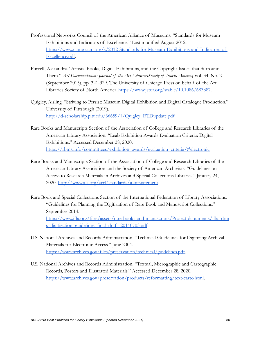- Professional Networks Council of the American Alliance of Museums. "Standards for Museum Exhibitions and Indicators of Excellence." Last modified August 2012. [https://www.name-aam.org/s/2012-Standards-for-Museum-Exhibitions-and-Indicators-of-](https://www.name-aam.org/s/2012-Standards-for-Museum-Exhibitions-and-Indicators-of-Excellence.pdf)[Excellence.pdf](https://www.name-aam.org/s/2012-Standards-for-Museum-Exhibitions-and-Indicators-of-Excellence.pdf).
- Purcell, Alexandra. "Artists' Books, Digital Exhibitions, and the Copyright Issues that Surround Them." *Art Documentation: Journal of the Art LibrariesSociety of North America*, Vol. 34, No. 2 (September 2015), pp. 321-329. The University of Chicago Press on behalf of the Art Libraries Society of North America.<https://www.jstor.org/stable/10.1086/683387>.
- Quigley, Aisling. "Striving to Persist: Museum Digital Exhibition and Digital Catalogue Production." University of Pittsburgh (2019). [http://d-scholarship.pitt.edu/36659/1/Quigley\\_ETDupdate.pdf.](http://d-scholarship.pitt.edu/36659/1/Quigley_ETDupdate.pdf)
- Rare Books and Manuscripts Section of the Association of College and Research Libraries of the American Library Association. "Leab Exhibition Awards Evaluation Criteria: Digital Exhibitions." Accessed December 28, 2020. [https://rbms.info/committees/exhibition\\_awards/evaluation\\_criteria/#electronic.](https://rbms.info/committees/exhibition_awards/evaluation_criteria/#electronic)
- Rare Books and Manuscripts Section of the Association of College and Research Libraries of the American Library Association and the Society of American Archivists. "Guidelines on Access to Research Materials in Archives and Special Collections Libraries." January 24, 2020. [http://www.ala.org/acrl/standards/jointstatement.](http://www.ala.org/acrl/standards/jointstatement)
- Rare Book and Special Collections Section of the International Federation of Library Associations. "Guidelines for Planning the Digitization of Rare Book and Manuscript Collections." September 2014. [https://www.ifla.org/files/assets/rare-books-and-manuscripts/Project-dcouments/ifla\\_rbm](https://www.ifla.org/files/assets/rare-books-and-manuscripts/Project-dcouments/ifla_rbms_digitization_guidelines_final_draft_20140703.pdf) [s\\_digitization\\_guidelines\\_final\\_draft\\_20140703.pdf](https://www.ifla.org/files/assets/rare-books-and-manuscripts/Project-dcouments/ifla_rbms_digitization_guidelines_final_draft_20140703.pdf).
- U.S. National Archives and Records Administration. "Technical Guidelines for Digitizing Archival Materials for Electronic Access." June 2004. [https://www.archives.gov/files/preservation/technical/guidelines.pdf.](https://www.archives.gov/files/preservation/technical/guidelines.pdf)
- U.S. National Archives and Records Administration. "Textual, Micrographic and Cartographic Records, Posters and Illustrated Materials." Accessed December 28, 2020. <https://www.archives.gov/preservation/products/reformatting/text-carto.html>.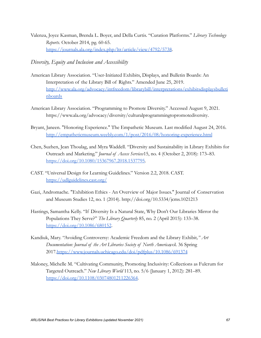Valenza, Joyce Kasman, Brenda L. Boyer, and Della Curtis. "Curation Platforms." *Library Technology Reports*. October 2014, pg. 60-65. <https://journals.ala.org/index.php/ltr/article/view/4792/5738>.

*Diversity, Equity and Inclusion and Accessibility*

- American Library Association. "User-Initiated Exhibits, Displays, and Bulletin Boards: An Interpretation of the Library Bill of Rights." Amended June 25, 2019. [http://www.ala.org/advocacy/intfreedom/librarybill/interpretations/exhibitsdisplaysbulleti](http://www.ala.org/advocacy/intfreedom/librarybill/interpretations/exhibitsdisplaysbulletinboards) [nboards](http://www.ala.org/advocacy/intfreedom/librarybill/interpretations/exhibitsdisplaysbulletinboards)
- American Library Association. "Programming to Promote Diversity." Accessed August 9, 2021. [https://www.ala.org/advocacy/diversity/culturalprogrammingtopromotediversity.](https://www.ala.org/advocacy/diversity/culturalprogrammingtopromotediversity)
- Bryant, Janeen. "Honoring Experience." The Empathetic Museum. Last modified August 24, 2016. <http://empatheticmuseum.weebly.com/1/post/2016/08/honoring-experience.html>
- Chen, Suzhen, Jean Thoulag, and Myra Waddell. "Diversity and Sustainability in Library Exhibits for Outreach and Marketing." *Journal of Access Services*15, no. 4 (October 2, 2018): 173–83. [https://doi.org/10.1080/15367967.2018.1537795.](https://doi.org/10.1080/15367967.2018.1537795)
- CAST. "Universal Design for Learning Guidelines." Version 2.2, 2018. CAST. <https://udlguidelines.cast.org/>
- Gazi, Andromache. "Exhibition Ethics An Overview of Major Issues." Journal of Conservation and Museum Studies 12, no. 1 (2014). <http://doi.org/10.5334/jcms.1021213>
- Hastings, Samantha Kelly. "If Diversity Is a Natural State, Why Don't Our Libraries Mirror the Populations They Serve?" *The Library Quarterly* 85, no. 2 (April 2015): 133–38. <https://doi.org/10.1086/680152>.
- Kandiuk, Mary. "Avoiding Controversy: Academic Freedom and the Library Exhibit*," Art Documentation: Journal of the Art Libraries Society of North America,*vol. 36 Spring 2017[.https://www.journals.uchicago.edu/doi/pdfplus/10.1086/691374](https://www.journals.uchicago.edu/doi/pdfplus/10.1086/691374)
- Maloney, Michelle M. "Cultivating Community, Promoting Inclusivity: Collections as Fulcrum for Targeted Outreach." *New Library World* 113, no. 5/6 (January 1, 2012): 281–89[.](https://doi.org/10.1108/03074801211226364) <https://doi.org/10.1108/03074801211226364>.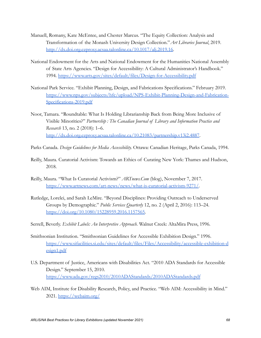- Manuell, Romany, Kate McEntee, and Chester Marcus. "The Equity Collection: Analysis and Transformation of the Monash University Design Collection."*Art Libraries Journal*, 2019[.](http://dx.doi.org.ezproxy.acsaa.talonline.ca/10.1017/alj.2019.16) [http://dx.doi.org.ezproxy.acsaa.talonline.ca/10.1017/alj.2019.16.](http://dx.doi.org.ezproxy.acsaa.talonline.ca/10.1017/alj.2019.16)
- National Endowment for the Arts and National Endowment for the Humanities National Assembly of State Arts Agencies. "Design for Accessibility: A Cultural Administrator's Handbook." 1994. <https://www.arts.gov/sites/default/files/Design-for-Accessibility.pdf>
- National Park Service. "Exhibit Planning, Design, and Fabrications Specifications." February 2019. [https://www.nps.gov/subjects/hfc/upload/NPS-Exhibit-Planning-Design-and-Fabrication-](https://www.nps.gov/subjects/hfc/upload/NPS-Exhibit-Planning-Design-and-Fabrication-Specifications-2019.pdf)[Specifications-2019.pdf](https://www.nps.gov/subjects/hfc/upload/NPS-Exhibit-Planning-Design-and-Fabrication-Specifications-2019.pdf)
- Noor, Tamara. "Roundtable: What Is Holding Librarianship Back from Being More Inclusive of Visible Minorities?" *Partnership : The Canadian Journal of Library and Information Practice and Research* 13, no. 2 (2018): 1–6. [http://dx.doi.org.ezproxy.acsaa.talonline.ca/10.21083/partnership.v13i2.4887.](http://dx.doi.org.ezproxy.acsaa.talonline.ca/10.21083/partnership.v13i2.4887)
- Parks Canada. *Design Guidelines for Media Accessibility.* Ottawa: Canadian Heritage, Parks Canada, 1994.
- Reilly, Maura. Curatorial Activism: Towards an Ethics of Curating New York: Thames and Hudson, 2018.
- Reilly, Maura. "What Is Curatorial Activism?" *ARTnews.Com* (blog), November 7, 2017. <https://www.artnews.com/art-news/news/what-is-curatorial-activism-9271/>.
- Rutledge, Lorelei, and Sarah LeMire. "Beyond Disciplines: Providing Outreach to Underserved Groups by Demographic." *Public Services Quarterly* 12, no. 2 (April 2, 2016): 113–24[.](https://doi.org/10.1080/15228959.2016.1157565) [https://doi.org/10.1080/15228959.2016.1157565.](https://doi.org/10.1080/15228959.2016.1157565)
- Serrell, Beverly. *Exhibit Labels: An Interpretive Approach.* Walnut Creek: AltaMira Press, 1996.
- Smithsonian Institution. "Smithsonian Guidelines for Accessible Exhibition Design." 1996. [https://www.sifacilities.si.edu/sites/default/files/Files/Accessibility/accessible-exhibition-d](https://www.sifacilities.si.edu/sites/default/files/Files/Accessibility/accessible-exhibition-design1.pdf) [esign1.pdf](https://www.sifacilities.si.edu/sites/default/files/Files/Accessibility/accessible-exhibition-design1.pdf)
- U.S. Department of Justice, Americans with Disabilities Act. "2010 ADA Standards for Accessible Design." September 15, 2010. <https://www.ada.gov/regs2010/2010ADAStandards/2010ADAStandards.pdf>
- Web AIM, Institute for Disability Research, Policy, and Practice. "Web AIM: Accessibility in Mind." 2021. <https://webaim.org/>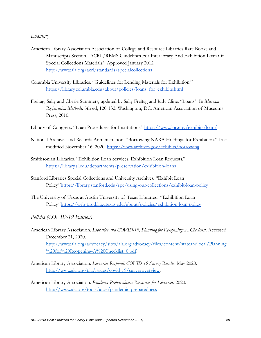## *Loaning*

- American Library Association Association of College and Resource Libraries Rare Books and Manuscripts Section. "ACRL/RBMS Guidelines For Interlibrary And Exhibition Loan Of Special Collections Materials." Approved January 2012. <http://www.ala.org/acrl/standards/specialcollections>
- Columbia University Libraries. "Guidelines for Lending Materials for Exhibition." [https://library.columbia.edu/about/policies/loans\\_for\\_exhibits.html](https://library.columbia.edu/about/policies/loans_for_exhibits.html)
- Freitag, Sally and Cherie Summers, updated by Sally Freitag and Judy Cline. "Loans." In *Museum Registration Methods*. 5th ed, 120-132. Washington, DC: American Association of Museums Press, 2010.
- Library of Congress. "Loan Procedures for Institutions."<https://www.loc.gov/exhibits/loan/>
- National Archives and Records Administration. "Borrowing NARA Holdings for Exhibition." Last modified November 16, 2020. <https://www.archives.gov/exhibits/borrowing>
- Smithsonian Libraries. "Exhibition Loan Services, Exhibition Loan Requests." <https://library.si.edu/departments/preservation/exhibition-loans>
- Stanford Libraries Special Collections and University Archives. "Exhibit Loan Policy."<https://library.stanford.edu/spc/using-our-collections/exhibit-loan-policy>
- The University of Texas at Austin University of Texas Libraries. "Exhibition Loan Policy."<https://web-prod.lib.utexas.edu/about/policies/exhibition-loan-policy>

*Policies (COVID-19 Edition)*

- American Library Association. *Libraries and COVID-19, Planning for Re-opening: A Checklist*. Accessed December 21, 2020. [http://www.ala.org/advocacy/sites/ala.org.advocacy/files/content/stateandlocal/Planning](http://www.ala.org/advocacy/sites/ala.org.advocacy/files/content/stateandlocal/Planning%20for%20Reopening-A%20Checklist_0.pdf) [%20for%20Reopening-A%20Checklist\\_0.pdf.](http://www.ala.org/advocacy/sites/ala.org.advocacy/files/content/stateandlocal/Planning%20for%20Reopening-A%20Checklist_0.pdf)
- American Library Association. *Libraries Respond: COVID-19 Survey Results*. May 2020. [http://www.ala.org/pla/issues/covid-19/surveyoverview.](http://www.ala.org/pla/issues/covid-19/surveyoverview)
- American Library Association. *Pandemic Preparedness: Resources for Libraries*. 2020. <http://www.ala.org/tools/atoz/pandemic-preparedness>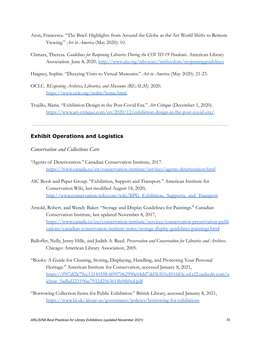- Aton, Francesca. "The Brief: Highlights from Around the Globe as the Art World Shifts to Remote Viewing." *Art in America* (May 2020): 10.
- Chmara, Theresa. *Guidelines for Reopening Libraries During the COVID-19 Pandemic*. American Library Association. June 8, 2020. <http://www.ala.org/advocacy/intfreedom/reopeningguidelines>
- Haigney, Sophie. "Dizzying Visits to Virtual Museums." *Art in America* (May 2020): 21-23.
- OCLC. *REopening Archives, Libraries, and Museums (REALM)*. 2020. [https://www.oclc.org/realm/home.html.](https://www.oclc.org/realm/home.html)
- Trujillo, Maria. "Exhibition Design in the Post-Covid Era." *Art Critique* (December 1, 2020). [https://www.art-critique.com/en/2020/12/exhibition-design-in-the-post-covid-era/.](https://www.art-critique.com/en/2020/12/exhibition-design-in-the-post-covid-era/)

# **Exhibit Operations and Logistics**

*Conservation and Collections Care*

- "Agents of Deterioration." Canadian Conservation Institute, 2017[.](https://www.canada.ca/en/conservation-institute/services/agents-deterioration.html) <https://www.canada.ca/en/conservation-institute/services/agents-deterioration.html>
- AIC Book and Paper Group. "Exhibition, Support and Transport." American Institute for Conservation Wiki, last modified August 18, 2020, [http://www.conservation-wiki.com/wiki/BPG\\_Exhibition,\\_Supports,\\_and\\_Transport](http://www.conservation-wiki.com/wiki/BPG_Exhibition,_Supports,_and_Transport)
- Arnold, Robert, and Wendy Baker. "Storage and Display Guidelines for Paintings." Canadian Conservation Institute, last updated November 8, 2017, [https://www.canada.ca/en/conservation-institute/services/conservation-preservation-publi](https://www.canada.ca/en/conservation-institute/services/conservation-preservation-publications/canadian-conservation-institute-notes/storage-display-guidelines-paintings.html) [cations/canadian-conservation-institute-notes/storage-display-guidelines-paintings.html](https://www.canada.ca/en/conservation-institute/services/conservation-preservation-publications/canadian-conservation-institute-notes/storage-display-guidelines-paintings.html)
- Balloffet, Nelly, Jenny Hille, and Judith A. Reed. *Preservation and Conservation for Libraries and Archives*. Chicago: American Library Association, 2005.
- "Books: A Guide for Cleaning, Storing, Displaying, Handling, and Protecting Your Personal Heritage." American Institute for Conservation, accessed January 8, 2021, [https://f9f7df2c79cc13143598-609f7062990e04dd7dd5b501c851683c.ssl.cf2.rackcdn.com/a](https://f9f7df2c79cc13143598-609f7062990e04dd7dd5b501c851683c.ssl.cf2.rackcdn.com/aichaw_5adbd22319fae7932d2563614b0f60ed.pdf) [ichaw\\_5adbd22319fae7932d2563614b0f60ed.pdf](https://f9f7df2c79cc13143598-609f7062990e04dd7dd5b501c851683c.ssl.cf2.rackcdn.com/aichaw_5adbd22319fae7932d2563614b0f60ed.pdf)
- "Borrowing Collection Items for Public Exhibition." British Library, accessed January 8, 2021, <https://www.bl.uk/about-us/governance/policies/borrowing-for-exhibitions>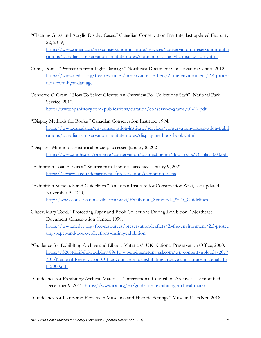"Cleaning Glass and Acrylic Display Cases." Canadian Conservation Institute, last updated February 22, 2019,

[https://www.canada.ca/en/conservation-institute/services/conservation-preservation-publi](https://www.canada.ca/en/conservation-institute/services/conservation-preservation-publications/canadian-conservation-institute-notes/cleaning-glass-acrylic-display-cases.html) [cations/canadian-conservation-institute-notes/cleaning-glass-acrylic-display-cases.html](https://www.canada.ca/en/conservation-institute/services/conservation-preservation-publications/canadian-conservation-institute-notes/cleaning-glass-acrylic-display-cases.html)

- Conn, Donia. "Protection from Light Damage." Northeast Document Conservation Center, 2012. [https://www.nedcc.org/free-resources/preservation-leaflets/2.-the-environment/2.4-protec](https://www.nedcc.org/free-resources/preservation-leaflets/2.-the-environment/2.4-protection-from-light-damage) [tion-from-light-damage](https://www.nedcc.org/free-resources/preservation-leaflets/2.-the-environment/2.4-protection-from-light-damage)
- Conserve O Gram. "How To Select Gloves: An Overview For Collections Staff." National Park Service, 2010[.](http://www.npshistory.com/publications/curation/conserve-o-grams/01-12.pdf) <http://www.npshistory.com/publications/curation/conserve-o-grams/01-12.pdf>
- "Display Methods for Books." Canadian Conservation Institute, 1994[,](https://www.canada.ca/en/conservation-institute/services/conservation-preservation-publications/canadian-conservation-institute-notes/display-methods-books.html) [https://www.canada.ca/en/conservation-institute/services/conservation-preservation-publi](https://www.canada.ca/en/conservation-institute/services/conservation-preservation-publications/canadian-conservation-institute-notes/display-methods-books.html) [cations/canadian-conservation-institute-notes/display-methods-books.html](https://www.canada.ca/en/conservation-institute/services/conservation-preservation-publications/canadian-conservation-institute-notes/display-methods-books.html)
- "Display." Minnesota Historical Society, accessed January 8, 2021[,](https://www.mnhs.org/preserve/conservation/connectingmn/docs_pdfs/Display_000.pdf) [https://www.mnhs.org/preserve/conservation/connectingmn/docs\\_pdfs/Display\\_000.pdf](https://www.mnhs.org/preserve/conservation/connectingmn/docs_pdfs/Display_000.pdf)
- "Exhibition Loan Services." Smithsonian Libraries, accessed January 9, 2021[,](https://library.si.edu/departments/preservation/exhibition-loans) <https://library.si.edu/departments/preservation/exhibition-loans>
- "Exhibition Standards and Guidelines." American Institute for Conservation Wiki, last updated November 9, 2020[,](http://www.conservation-wiki.com/wiki/Exhibition_Standards_%26_Guidelines) [http://www.conservation-wiki.com/wiki/Exhibition\\_Standards\\_%26\\_Guidelines](http://www.conservation-wiki.com/wiki/Exhibition_Standards_%26_Guidelines)
- Glaser, Mary Todd. "Protecting Paper and Book Collections During Exhibition." Northeast Document Conservation Center, 1999[.](https://www.nedcc.org/free-resources/preservation-leaflets/2.-the-environment/2.5-protecting-paper-and-book-collections-during-exhibition) [https://www.nedcc.org/free-resources/preservation-leaflets/2.-the-environment/2.5-protec](https://www.nedcc.org/free-resources/preservation-leaflets/2.-the-environment/2.5-protecting-paper-and-book-collections-during-exhibition) [ting-paper-and-book-collections-during-exhibition](https://www.nedcc.org/free-resources/preservation-leaflets/2.-the-environment/2.5-protecting-paper-and-book-collections-during-exhibition)
- "Guidance for Exhibiting Archive and Library Materials." UK National Preservation Office, 2000. [https://326gtd123dbk1xdkdm489u1q-wpengine.netdna-ssl.com/wp-content/uploads/2017](https://326gtd123dbk1xdkdm489u1q-wpengine.netdna-ssl.com/wp-content/uploads/2017/01/National-Preservation-Office-Guidance-for-exhibiting-archive-and-library-materials-Feb-2000.pdf) [/01/National-Preservation-Office-Guidance-for-exhibiting-archive-and-library-materials-Fe](https://326gtd123dbk1xdkdm489u1q-wpengine.netdna-ssl.com/wp-content/uploads/2017/01/National-Preservation-Office-Guidance-for-exhibiting-archive-and-library-materials-Feb-2000.pdf) [b-2000.pdf](https://326gtd123dbk1xdkdm489u1q-wpengine.netdna-ssl.com/wp-content/uploads/2017/01/National-Preservation-Office-Guidance-for-exhibiting-archive-and-library-materials-Feb-2000.pdf)
- "Guidelines for Exhibiting Archival Materials." International Council on Archives, last modified December 9, 2011, <https://www.ica.org/en/guidelines-exhibiting-archival-materials>

"Guidelines for Plants and Flowers in Museums and Historic Settings." MuseumPests.Net, 2018.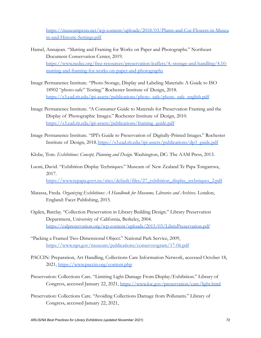[https://museumpests.net/wp-content/uploads/2018/03/Plants-and-Cut-Flowers-in-Museu](https://museumpests.net/wp-content/uploads/2018/03/Plants-and-Cut-Flowers-in-Museum-and-Historic-Settings.pdf) [m-and-Historic-Settings.pdf](https://museumpests.net/wp-content/uploads/2018/03/Plants-and-Cut-Flowers-in-Museum-and-Historic-Settings.pdf)

- Hamel, Annajean. "Matting and Framing for Works on Paper and Photographs." Northeast Document Conservation Center, 2019[.](https://www.nedcc.org/free-resources/preservation-leaflets/4.-storage-and-handling/4.10-matting-and-framing-for-works-on-paper-and-photographs) [https://www.nedcc.org/free-resources/preservation-leaflets/4.-storage-and-handling/4.10](https://www.nedcc.org/free-resources/preservation-leaflets/4.-storage-and-handling/4.10-matting-and-framing-for-works-on-paper-and-photographs) [matting-and-framing-for-works-on-paper-and-photographs](https://www.nedcc.org/free-resources/preservation-leaflets/4.-storage-and-handling/4.10-matting-and-framing-for-works-on-paper-and-photographs)
- Image Permanence Institute. "Photo Storage, Display and Labeling Materials: A Guide to ISO 18902 "photo-safe" Testing." Rochester Institute of Design, 2018[.](https://s3.cad.rit.edu/ipi-assets/publications/photo_safe/photo_safe_english.pdf) [https://s3.cad.rit.edu/ipi-assets/publications/photo\\_safe/photo\\_safe\\_english.pdf](https://s3.cad.rit.edu/ipi-assets/publications/photo_safe/photo_safe_english.pdf)
- Image Permanence Institute. "A Consumer Guide to Materials for Preservation Framing and the Display of Photographic Images." Rochester Institute of Design, 201[0.](https://s3.cad.rit.edu/ipi-assets/publications/framing_guide.pdf) [https://s3.cad.rit.edu/ipi-assets/publications/framing\\_guide.pdf](https://s3.cad.rit.edu/ipi-assets/publications/framing_guide.pdf)
- Image Permanence Institute. "IPI's Guide to Preservation of Digitally-Printed Images." Rochester Institute of Design, 2018[.https://s3.cad.rit.edu/ipi-assets/publications/dp3\\_guide.pdf](https://s3.cad.rit.edu/ipi-assets/publications/dp3_guide.pdf)
- Klobe, Tom. *Exhibitions: Concept, Planning and Design*. Washington, DC: The AAM Press, 2013.
- Luoni, David. "Exhibition Display Techniques." Museum of New Zealand Te Papa Tongarewa, 2017[.](https://www.tepapa.govt.nz/sites/default/files/27_exhibition_display_techniques_2.pdf) [https://www.tepapa.govt.nz/sites/default/files/27\\_exhibition\\_display\\_techniques\\_2.pdf](https://www.tepapa.govt.nz/sites/default/files/27_exhibition_display_techniques_2.pdf)
- Matassa, Freda. *Organizing Exhibitions: A Handbook for Museums, Libraries and Archives*. London, England: Facet Publishing, 2015.
- Ogden, Barclay. "Collection Preservation in Library Building Design." Library Preservation Department, University of California, Berkeley, 2004[.](https://calpreservation.org/wp-content/uploads/2015/03/LibrisPreservation.pdf) <https://calpreservation.org/wp-content/uploads/2015/03/LibrisPreservation.pdf>
- "Packing a Framed Two-Dimensional Object." National Park Service, 2009[,](https://www.nps.gov/museum/publications/conserveogram/17-06.pdf) <https://www.nps.gov/museum/publications/conserveogram/17-06.pdf>
- PACCIN: Preparation, Art Handling, Collections Care Information Network, accessed October 18, 2021, <https://www.paccin.org/content.php>
- Preservation: Collections Care. "Limiting Light Damage From Display/Exhibition." Library of Congress, accessed January 22, 2021, <https://www.loc.gov/preservation/care/light.html>
- Preservation: Collections Care. "Avoiding Collections Damage from Pollutants." Library of Congress, accessed January 22, 2021,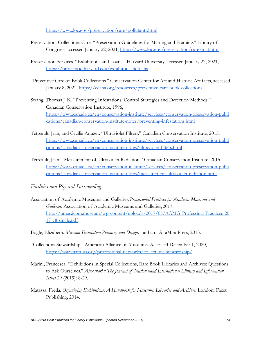<https://www.loc.gov/preservation/care/pollutants.html>

- Preservation: Collections Care: "Preservation Guidelines for Matting and Framing." Library of Congress, accessed January 22, 2021, <https://www.loc.gov/preservation/care/mat.html>
- Preservation Services. "Exhibitions and Loans." Harvard University, accessed January 22, 2021[,](https://projects.iq.harvard.edu/exhibitonsandloans) <https://projects.iq.harvard.edu/exhibitonsandloans>
- "Preventive Care of Book Collections." Conservation Center for Art and Historic Artifacts, accessed January 8, 2021, <https://ccaha.org/resources/preventive-care-book-collections>
- Strang, Thomas J. K. "Preventing Infestations: Control Strategies and Detection Methods." Canadian Conservation Institute, 1996[,](https://www.canada.ca/en/conservation-institute/services/conservation-preservation-publications/canadian-conservation-institute-notes/preventing-infestations.html) [https://www.canada.ca/en/conservation-institute/services/conservation-preservation-publi](https://www.canada.ca/en/conservation-institute/services/conservation-preservation-publications/canadian-conservation-institute-notes/preventing-infestations.html) [cations/canadian-conservation-institute-notes/preventing-infestations.html](https://www.canada.ca/en/conservation-institute/services/conservation-preservation-publications/canadian-conservation-institute-notes/preventing-infestations.html)
- Tétreault, Jean, and Cécilia Anuzet. "Ultraviolet Filters." Canadian Conservation Institute, 2015. [https://www.canada.ca/en/conservation-institute/services/conservation-preservation-publi](https://www.canada.ca/en/conservation-institute/services/conservation-preservation-publications/canadian-conservation-institute-notes/ultraviolet-filters.html) [cations/canadian-conservation-institute-notes/ultraviolet-filters.html](https://www.canada.ca/en/conservation-institute/services/conservation-preservation-publications/canadian-conservation-institute-notes/ultraviolet-filters.html)
- Tétreault, Jean. "Measurement of Ultraviolet Radiation." Canadian Conservation Institute, 2015[,](https://www.canada.ca/en/conservation-institute/services/conservation-preservation-publications/canadian-conservation-institute-notes/measurement-ultraviolet-radiation.html) [https://www.canada.ca/en/conservation-institute/services/conservation-preservation-publi](https://www.canada.ca/en/conservation-institute/services/conservation-preservation-publications/canadian-conservation-institute-notes/measurement-ultraviolet-radiation.html) [cations/canadian-conservation-institute-notes/measurement-ultraviolet-radiation.html](https://www.canada.ca/en/conservation-institute/services/conservation-preservation-publications/canadian-conservation-institute-notes/measurement-ultraviolet-radiation.html)
- *Facilities and Physical Surroundings*
- Association of Academic Museums and Galleries.*Professional Practices for Academic Museums and Galleries*. Association of Academic Museums and Galleries, 2017. [http://umac.icom.museum/wp-content/uploads/2017/05/AAMG-Professinal-Practices-20](http://umac.icom.museum/wp-content/uploads/2017/05/AAMG-Professinal-Practices-2017-v8-single.pdf) [17-v8-single.pdf](http://umac.icom.museum/wp-content/uploads/2017/05/AAMG-Professinal-Practices-2017-v8-single.pdf)
- Bogle, Elizabeth. *Museum Exhibition Planning and Design*. Lanham: AltaMira Press, 2013.
- "Collections Stewardship," American Alliance of Museums. Accessed December 1, 2020, <https://www.aam-us.org/professional-networks/collections-stewardship/>.
- Marini, Francesca. "Exhibitions in Special Collections, Rare Book Libraries and Archives: Questions to Ask Ourselves." *Alexandria: The Journal of Nationaland International Library and Information Issues* 29 (2019): 8-29.
- Matassa, Freda. *Organizing Exhibitions: A Handbook for Museums, Libraries and Archives*. London: Facet Publishing, 2014.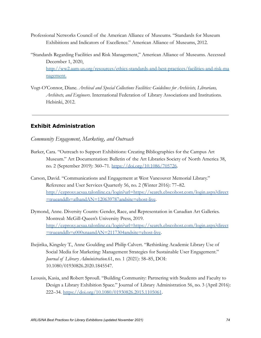Professional Networks Council of the American Alliance of Museums. "Standards for Museum Exhibitions and Indicators of Excellence." American Alliance of Museums, 2012.

"Standards Regarding Facilities and Risk Management," American Alliance of Museums. Accessed December 1, 2020,

[http://ww2.aam-us.org/resources/ethics-standards-and-best-practices/facilities-and-risk-ma](http://ww2.aam-us.org/resources/ethics-standards-and-best-practices/facilities-and-risk-management) [nagement](http://ww2.aam-us.org/resources/ethics-standards-and-best-practices/facilities-and-risk-management).

Vogt-O'Connor, Diane. *Archival and Special Collections Facilities: Guidelines for Archivists, Librarians, Architects, and Engineers*. International Federation of Library Associations and Institutions. Helsinki, 2012.

## **Exhibit Administration**

*Community Engagement, Marketing, and Outreach*

- Barker, Cara. "Outreach to Support Exhibitions: Creating Bibliographies for the Campus Art Museum." Art Documentation: Bulletin of the Art Libraries Society of North America 38, no. 2 (September 2019): 360–71. <https://doi.org/10.1086/705726>.
- Carson, David. "Communications and Engagement at West Vancouver Memorial Library." Reference and User Services Quarterly 56, no. 2 (Winter 2016): 77–82. [http://ezproxy.acsaa.talonline.ca/login?url=https://search.ebscohost.com/login.aspx?direct](http://ezproxy.acsaa.talonline.ca/login?url=https://search.ebscohost.com/login.aspx?direct=true&db=afh&AN=120639787&site=ehost-live) [=trueanddb=afhandAN=120639787andsite=ehost-live.](http://ezproxy.acsaa.talonline.ca/login?url=https://search.ebscohost.com/login.aspx?direct=true&db=afh&AN=120639787&site=ehost-live)
- Dymond, Anne. Diversity Counts: Gender, Race, and Representation in Canadian Art Galleries. Montreal: McGill-Queen's University Press, 2019. [http://ezproxy.acsaa.talonline.ca/login?url=https://search.ebscohost.com/login.aspx?direct](http://ezproxy.acsaa.talonline.ca/login?url=https://search.ebscohost.com/login.aspx?direct=true&db=e000xna&AN=2117304&site=ehost-live) [=trueanddb=e000xnaandAN=2117304andsite=ehost-live](http://ezproxy.acsaa.talonline.ca/login?url=https://search.ebscohost.com/login.aspx?direct=true&db=e000xna&AN=2117304&site=ehost-live).
- Ihejirika, Kingsley T., Anne Goulding and Philip Calvert. "Rethinking Academic Library Use of Social Media for Marketing: Management Strategies for Sustainable User Engagement." *Journal of Library Administration.*61, no. 1 (2021): 58–85, DOI: 10.1080/01930826.2020.1845547.
- Leousis, Kasia, and Robert Sproull. "Building Community: Partnering with Students and Faculty to Design a Library Exhibition Space." Journal of Library Administration 56, no. 3 (April 2016): 222–34. <https://doi.org/10.1080/01930826.2015.1105061>.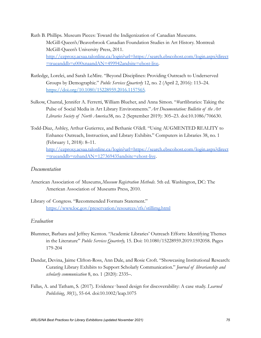- Ruth B. Phillips. Museum Pieces: Toward the Indigenization of Canadian Museums. McGill-Queen's/Beaverbrook Canadian Foundation Studies in Art History. Montreal: McGill-Queen's University Press, 2011. [http://ezproxy.acsaa.talonline.ca/login?url=https://search.ebscohost.com/login.aspx?direct](http://ezproxy.acsaa.talonline.ca/login?url=https://search.ebscohost.com/login.aspx?direct=true&db=e000xna&AN=499942&site=ehost-live) [=trueanddb=e000xnaandAN=499942andsite=ehost-live.](http://ezproxy.acsaa.talonline.ca/login?url=https://search.ebscohost.com/login.aspx?direct=true&db=e000xna&AN=499942&site=ehost-live)
- Rutledge, Lorelei, and Sarah LeMire. "Beyond Disciplines: Providing Outreach to Underserved Groups by Demographic." *Public Services Quarterly* 12, no. 2 (April 2, 2016): 113–24[.](https://doi.org/10.1080/15228959.2016.1157565) [https://doi.org/10.1080/15228959.2016.1157565.](https://doi.org/10.1080/15228959.2016.1157565)
- Sulkow, Chantal, Jennifer A. Ferretti, William Blueher, and Anna Simon. "#artlibraries: Taking the Pulse of Social Media in Art Library Environments."*Art Documentation: Bulletin of the Art Libraries Society of North America*38, no. 2 (September 2019): 305–23. doi:10.1086/706630.
- Todd-Diaz, Ashley, Arthur Gutierrez, and Bethanie O'dell. "Using AUGMENTED REALITY to Enhance Outreach, Instruction, and Library Exhibits." Computers in Libraries 38, no. 1 (February 1, 2018): 8–11. [http://ezproxy.acsaa.talonline.ca/login?url=https://search.ebscohost.com/login.aspx?direct](http://ezproxy.acsaa.talonline.ca/login?url=https://search.ebscohost.com/login.aspx?direct=true&db=rzh&AN=127369435&site=ehost-live) [=trueanddb=rzhandAN=127369435andsite=ehost-live](http://ezproxy.acsaa.talonline.ca/login?url=https://search.ebscohost.com/login.aspx?direct=true&db=rzh&AN=127369435&site=ehost-live).

## *Documentation*

- American Association of Museums,*Museum Registration Methods*. 5th ed. Washington, DC: The American Association of Museums Press, 2010.
- Library of Congress. "Recommended Formats Statement." <https://www.loc.gov/preservation/resources/rfs/stillimg.html>

## *Evaluation*

- Blummer, Barbara and Jeffrey Kenton. "Academic Libraries' Outreach Efforts: Identifying Themes in the Literature" *Public Services Quarterly,* 15. Doi: 10.1080/15228959.2019.1592058. Pages 179-204
- Dandar, Devina, Jaime Clifton-Ross, Ann Dale, and Rosie Croft. "Showcasing Institutional Research: Curating Library Exhibits to Support Scholarly Communication." *Journal of librarianship and scholarly communication* 8, no. 1 (2020): 2335–.
- Fallas, A. and Tatham, S. (2017). Evidence‐based design for discoverability: A case study. *Learned Publishing*, *30*(1), 55-64. doi[:10.1002/leap.1075](https://doi-org.proxy.lib.uwaterloo.ca/10.1002/leap.1075)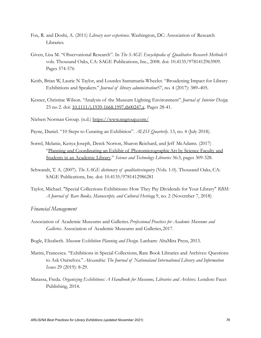- Fox, R. and Doshi, A. (2011) *Library user experience*. Washington, DC: Association of Research Libraries.
- Given, Lisa M. "Observational Research". In *The SAGE Encyclopedia of Qualitative Research Methods*. 0 vols. Thousand Oaks, CA: SAGE Publications, Inc., 2008. doi: 10.4135/9781412963909. Pages 574-576
- Keith, Brian W, Laurie N Taylor, and Lourdes Santamaría-Wheeler. "Broadening Impact for Library Exhibitions and Speakers." *Journal of library administration*57, no. 4 (2017): 389–405.
- Kesner, Christine Wilson. "Analysis of the Museum Lighting Environment".*Journal of Interior Design*, 23 no 2. doi: [10.1111/j.1939-1668.1997.tb00247.x](https://doi.org/10.1111/j.1939-1668.1997.tb00247.x). Pages 28-41.

Nielsen Norman Group. (n.d.) <https://www.nngroup.com/>

- Payne, Daniel. "10 Steps to Curating an Exhibition". *ALISS Quarterly*. 13, no. 4 (July 2018).
- Sorrel, Melanie, Kenya Joseph, Derek Norton, Sharon Reichard, and Jeff McAdams. (2017[\)](https://www.tandfonline.com/doi/abs/10.1080/0194262X.2017.1365043) ["Planning and Coordinating an Exhibit of PhotomicrographicArt by Science Faculty and](https://www.tandfonline.com/doi/abs/10.1080/0194262X.2017.1365043) [Students in an Academic Library.](https://www.tandfonline.com/doi/abs/10.1080/0194262X.2017.1365043)" *Science and Technology Libraries* 36:3, pages 309-328.
- Schwandt, T. A. (2007). *The SAGE dictionary of qualitativeinquiry* (Vols. 1-0). Thousand Oaks, CA: SAGE Publications, Inc. doi: 10.4135/9781412986281
- Taylor, Michael. "Special Collections Exhibitions: How They Pay Dividends for Your Library" *RBM: A Journal of Rare Books, Manuscripts, and Cultural Heritage*, 9, no. 2 (November 7, 2018)

*Financial Management*

- Association of Academic Museums and Galleries.*Professional Practices for Academic Museums and Galleries*. Association of Academic Museums and Galleries, 2017.
- Bogle, Elizabeth. *Museum Exhibition Planning and Design*. Lanham: AltaMira Press, 2013.
- Marini, Francesca. "Exhibitions in Special Collections, Rare Book Libraries and Archives: Questions to Ask Ourselves." *Alexandria: The Journal of Nationaland International Library and Information Issues* 29 (2019): 8-29.
- Matassa, Freda. *Organizing Exhibitions: A Handbook for Museums, Libraries and Archives*. London: Facet Publishing, 2014.